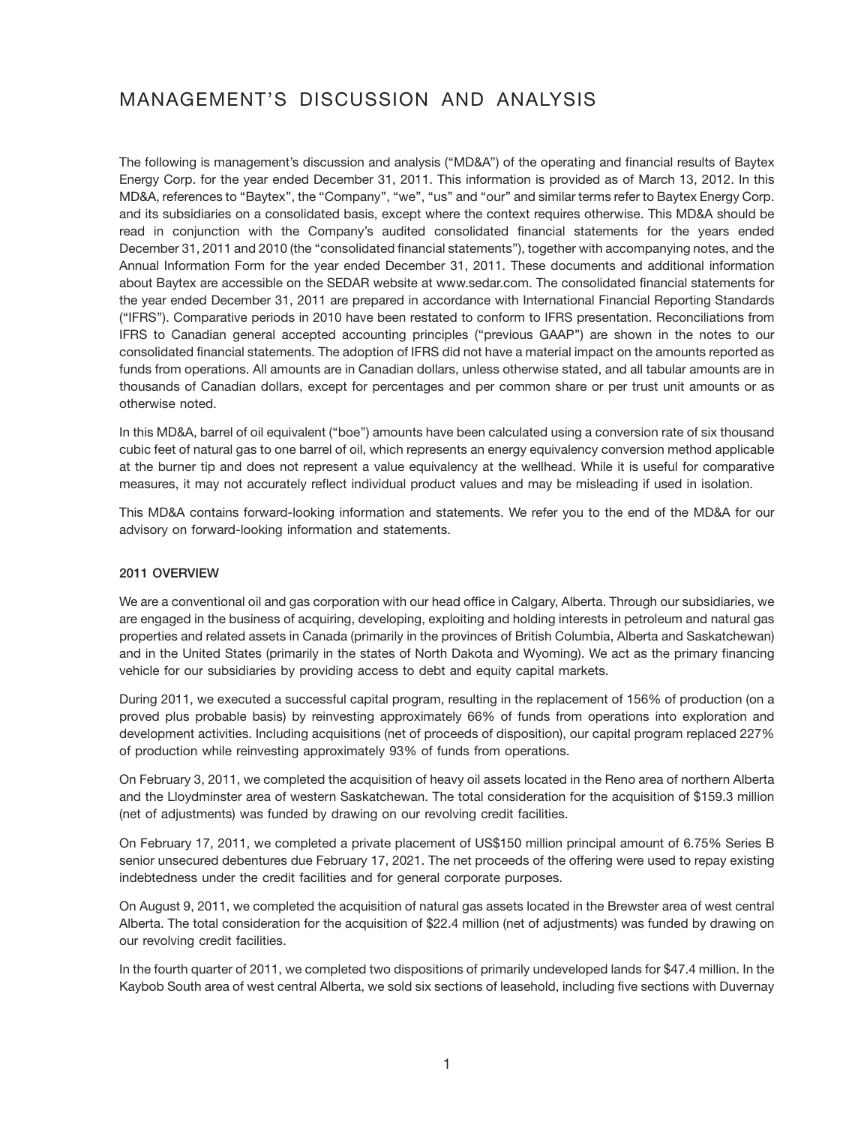# MANAGEMENT'S DISCUSSION AND ANALYSIS

The following is management's discussion and analysis (''MD&A'') of the operating and financial results of Baytex Energy Corp. for the year ended December 31, 2011. This information is provided as of March 13, 2012. In this MD&A, references to "Baytex", the "Company", "we", "us" and "our" and similar terms refer to Baytex Energy Corp. and its subsidiaries on a consolidated basis, except where the context requires otherwise. This MD&A should be read in conjunction with the Company's audited consolidated financial statements for the years ended December 31, 2011 and 2010 (the ''consolidated financial statements''), together with accompanying notes, and the Annual Information Form for the year ended December 31, 2011. These documents and additional information about Baytex are accessible on the SEDAR website at www.sedar.com. The consolidated financial statements for the year ended December 31, 2011 are prepared in accordance with International Financial Reporting Standards (''IFRS''). Comparative periods in 2010 have been restated to conform to IFRS presentation. Reconciliations from IFRS to Canadian general accepted accounting principles (''previous GAAP'') are shown in the notes to our consolidated financial statements. The adoption of IFRS did not have a material impact on the amounts reported as funds from operations. All amounts are in Canadian dollars, unless otherwise stated, and all tabular amounts are in thousands of Canadian dollars, except for percentages and per common share or per trust unit amounts or as otherwise noted.

In this MD&A, barrel of oil equivalent (''boe'') amounts have been calculated using a conversion rate of six thousand cubic feet of natural gas to one barrel of oil, which represents an energy equivalency conversion method applicable at the burner tip and does not represent a value equivalency at the wellhead. While it is useful for comparative measures, it may not accurately reflect individual product values and may be misleading if used in isolation.

This MD&A contains forward-looking information and statements. We refer you to the end of the MD&A for our advisory on forward-looking information and statements.

#### **2011 OVERVIEW**

We are a conventional oil and gas corporation with our head office in Calgary, Alberta. Through our subsidiaries, we are engaged in the business of acquiring, developing, exploiting and holding interests in petroleum and natural gas properties and related assets in Canada (primarily in the provinces of British Columbia, Alberta and Saskatchewan) and in the United States (primarily in the states of North Dakota and Wyoming). We act as the primary financing vehicle for our subsidiaries by providing access to debt and equity capital markets.

During 2011, we executed a successful capital program, resulting in the replacement of 156% of production (on a proved plus probable basis) by reinvesting approximately 66% of funds from operations into exploration and development activities. Including acquisitions (net of proceeds of disposition), our capital program replaced 227% of production while reinvesting approximately 93% of funds from operations.

On February 3, 2011, we completed the acquisition of heavy oil assets located in the Reno area of northern Alberta and the Lloydminster area of western Saskatchewan. The total consideration for the acquisition of \$159.3 million (net of adjustments) was funded by drawing on our revolving credit facilities.

On February 17, 2011, we completed a private placement of US\$150 million principal amount of 6.75% Series B senior unsecured debentures due February 17, 2021. The net proceeds of the offering were used to repay existing indebtedness under the credit facilities and for general corporate purposes.

On August 9, 2011, we completed the acquisition of natural gas assets located in the Brewster area of west central Alberta. The total consideration for the acquisition of \$22.4 million (net of adjustments) was funded by drawing on our revolving credit facilities.

In the fourth quarter of 2011, we completed two dispositions of primarily undeveloped lands for \$47.4 million. In the Kaybob South area of west central Alberta, we sold six sections of leasehold, including five sections with Duvernay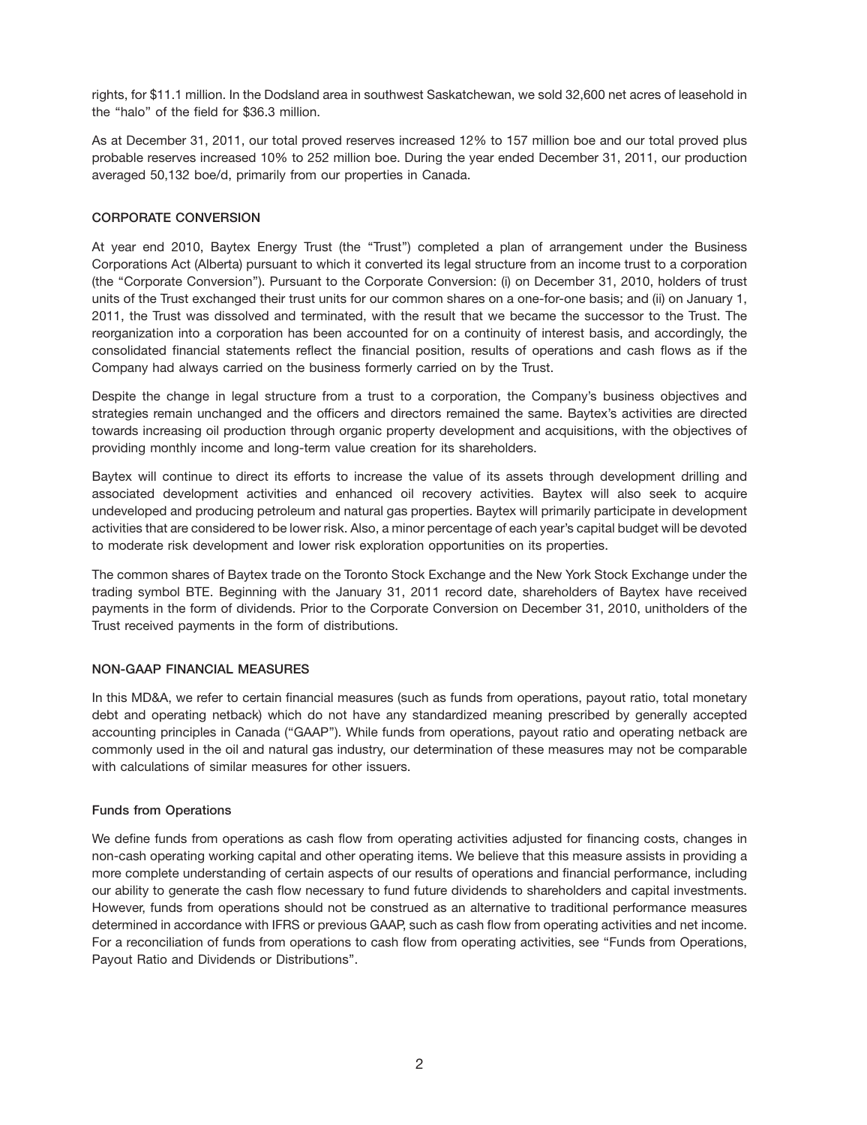rights, for \$11.1 million. In the Dodsland area in southwest Saskatchewan, we sold 32,600 net acres of leasehold in the ''halo'' of the field for \$36.3 million.

As at December 31, 2011, our total proved reserves increased 12% to 157 million boe and our total proved plus probable reserves increased 10% to 252 million boe. During the year ended December 31, 2011, our production averaged 50,132 boe/d, primarily from our properties in Canada.

## **CORPORATE CONVERSION**

At year end 2010, Baytex Energy Trust (the ''Trust'') completed a plan of arrangement under the Business Corporations Act (Alberta) pursuant to which it converted its legal structure from an income trust to a corporation (the ''Corporate Conversion''). Pursuant to the Corporate Conversion: (i) on December 31, 2010, holders of trust units of the Trust exchanged their trust units for our common shares on a one-for-one basis; and (ii) on January 1, 2011, the Trust was dissolved and terminated, with the result that we became the successor to the Trust. The reorganization into a corporation has been accounted for on a continuity of interest basis, and accordingly, the consolidated financial statements reflect the financial position, results of operations and cash flows as if the Company had always carried on the business formerly carried on by the Trust.

Despite the change in legal structure from a trust to a corporation, the Company's business objectives and strategies remain unchanged and the officers and directors remained the same. Baytex's activities are directed towards increasing oil production through organic property development and acquisitions, with the objectives of providing monthly income and long-term value creation for its shareholders.

Baytex will continue to direct its efforts to increase the value of its assets through development drilling and associated development activities and enhanced oil recovery activities. Baytex will also seek to acquire undeveloped and producing petroleum and natural gas properties. Baytex will primarily participate in development activities that are considered to be lower risk. Also, a minor percentage of each year's capital budget will be devoted to moderate risk development and lower risk exploration opportunities on its properties.

The common shares of Baytex trade on the Toronto Stock Exchange and the New York Stock Exchange under the trading symbol BTE. Beginning with the January 31, 2011 record date, shareholders of Baytex have received payments in the form of dividends. Prior to the Corporate Conversion on December 31, 2010, unitholders of the Trust received payments in the form of distributions.

# **NON-GAAP FINANCIAL MEASURES**

In this MD&A, we refer to certain financial measures (such as funds from operations, payout ratio, total monetary debt and operating netback) which do not have any standardized meaning prescribed by generally accepted accounting principles in Canada ("GAAP"). While funds from operations, payout ratio and operating netback are commonly used in the oil and natural gas industry, our determination of these measures may not be comparable with calculations of similar measures for other issuers.

#### **Funds from Operations**

We define funds from operations as cash flow from operating activities adjusted for financing costs, changes in non-cash operating working capital and other operating items. We believe that this measure assists in providing a more complete understanding of certain aspects of our results of operations and financial performance, including our ability to generate the cash flow necessary to fund future dividends to shareholders and capital investments. However, funds from operations should not be construed as an alternative to traditional performance measures determined in accordance with IFRS or previous GAAP, such as cash flow from operating activities and net income. For a reconciliation of funds from operations to cash flow from operating activities, see ''Funds from Operations, Payout Ratio and Dividends or Distributions''.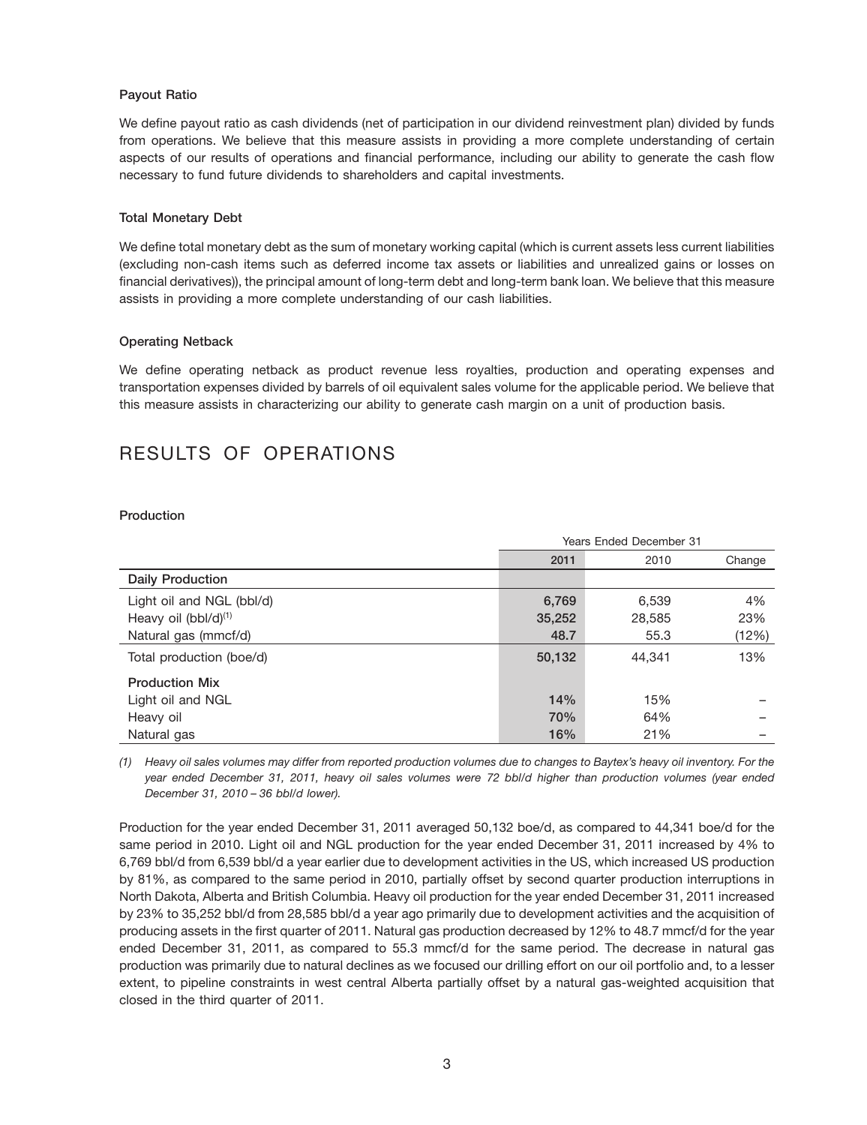#### **Payout Ratio**

We define payout ratio as cash dividends (net of participation in our dividend reinvestment plan) divided by funds from operations. We believe that this measure assists in providing a more complete understanding of certain aspects of our results of operations and financial performance, including our ability to generate the cash flow necessary to fund future dividends to shareholders and capital investments.

#### **Total Monetary Debt**

We define total monetary debt as the sum of monetary working capital (which is current assets less current liabilities (excluding non-cash items such as deferred income tax assets or liabilities and unrealized gains or losses on financial derivatives)), the principal amount of long-term debt and long-term bank loan. We believe that this measure assists in providing a more complete understanding of our cash liabilities.

#### **Operating Netback**

We define operating netback as product revenue less royalties, production and operating expenses and transportation expenses divided by barrels of oil equivalent sales volume for the applicable period. We believe that this measure assists in characterizing our ability to generate cash margin on a unit of production basis.

# RESULTS OF OPERATIONS

#### **Production**

|                                  | Years Ended December 31 |        |        |  |  |  |  |
|----------------------------------|-------------------------|--------|--------|--|--|--|--|
|                                  | 2011                    | 2010   | Change |  |  |  |  |
| <b>Daily Production</b>          |                         |        |        |  |  |  |  |
| Light oil and NGL (bbl/d)        | 6,769                   | 6,539  | 4%     |  |  |  |  |
| Heavy oil (bbl/d) <sup>(1)</sup> | 35,252                  | 28,585 | 23%    |  |  |  |  |
| Natural gas (mmcf/d)             | 48.7                    | 55.3   | (12%)  |  |  |  |  |
| Total production (boe/d)         | 50,132                  | 44,341 | 13%    |  |  |  |  |
| <b>Production Mix</b>            |                         |        |        |  |  |  |  |
| Light oil and NGL                | 14%                     | 15%    |        |  |  |  |  |
| Heavy oil                        | 70%                     | 64%    |        |  |  |  |  |
| Natural gas                      | 16%                     | 21%    |        |  |  |  |  |

*(1) Heavy oil sales volumes may differ from reported production volumes due to changes to Baytex's heavy oil inventory. For the year ended December 31, 2011, heavy oil sales volumes were 72 bbl/d higher than production volumes (year ended December 31, 2010 – 36 bbl/d lower).*

Production for the year ended December 31, 2011 averaged 50,132 boe/d, as compared to 44,341 boe/d for the same period in 2010. Light oil and NGL production for the year ended December 31, 2011 increased by 4% to 6,769 bbl/d from 6,539 bbl/d a year earlier due to development activities in the US, which increased US production by 81%, as compared to the same period in 2010, partially offset by second quarter production interruptions in North Dakota, Alberta and British Columbia. Heavy oil production for the year ended December 31, 2011 increased by 23% to 35,252 bbl/d from 28,585 bbl/d a year ago primarily due to development activities and the acquisition of producing assets in the first quarter of 2011. Natural gas production decreased by 12% to 48.7 mmcf/d for the year ended December 31, 2011, as compared to 55.3 mmcf/d for the same period. The decrease in natural gas production was primarily due to natural declines as we focused our drilling effort on our oil portfolio and, to a lesser extent, to pipeline constraints in west central Alberta partially offset by a natural gas-weighted acquisition that closed in the third quarter of 2011.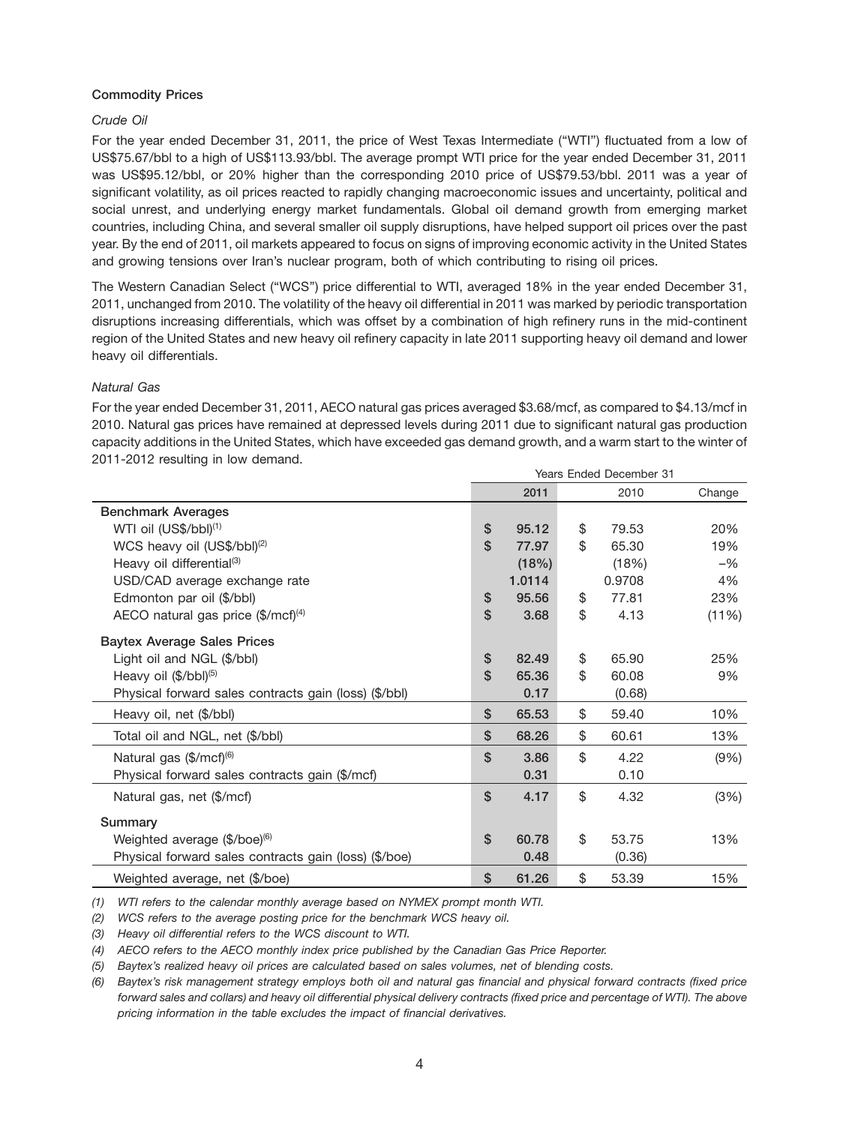# **Commodity Prices**

# *Crude Oil*

For the year ended December 31, 2011, the price of West Texas Intermediate (''WTI'') fluctuated from a low of US\$75.67/bbl to a high of US\$113.93/bbl. The average prompt WTI price for the year ended December 31, 2011 was US\$95.12/bbl, or 20% higher than the corresponding 2010 price of US\$79.53/bbl. 2011 was a year of significant volatility, as oil prices reacted to rapidly changing macroeconomic issues and uncertainty, political and social unrest, and underlying energy market fundamentals. Global oil demand growth from emerging market countries, including China, and several smaller oil supply disruptions, have helped support oil prices over the past year. By the end of 2011, oil markets appeared to focus on signs of improving economic activity in the United States and growing tensions over Iran's nuclear program, both of which contributing to rising oil prices.

The Western Canadian Select (''WCS'') price differential to WTI, averaged 18% in the year ended December 31, 2011, unchanged from 2010. The volatility of the heavy oil differential in 2011 was marked by periodic transportation disruptions increasing differentials, which was offset by a combination of high refinery runs in the mid-continent region of the United States and new heavy oil refinery capacity in late 2011 supporting heavy oil demand and lower heavy oil differentials.

# *Natural Gas*

For the year ended December 31, 2011, AECO natural gas prices averaged \$3.68/mcf, as compared to \$4.13/mcf in 2010. Natural gas prices have remained at depressed levels during 2011 due to significant natural gas production capacity additions in the United States, which have exceeded gas demand growth, and a warm start to the winter of 2011-2012 resulting in low demand.

|                                                       | <b>Years Ended December 31</b> |        |    |        |        |  |
|-------------------------------------------------------|--------------------------------|--------|----|--------|--------|--|
|                                                       |                                | 2011   |    | 2010   | Change |  |
| <b>Benchmark Averages</b>                             |                                |        |    |        |        |  |
| WTI oil (US\$/bbl) <sup>(1)</sup>                     | \$                             | 95.12  | \$ | 79.53  | 20%    |  |
| WCS heavy oil (US\$/bbl) <sup>(2)</sup>               | $\mathsf{\$}$                  | 77.97  | \$ | 65.30  | 19%    |  |
| Heavy oil differential <sup>(3)</sup>                 |                                | (18%)  |    | (18%)  | $-$ %  |  |
| USD/CAD average exchange rate                         |                                | 1.0114 |    | 0.9708 | 4%     |  |
| Edmonton par oil (\$/bbl)                             | \$                             | 95.56  | \$ | 77.81  | 23%    |  |
| AECO natural gas price $(\frac{5}{mcf})^{(4)}$        | \$                             | 3.68   | \$ | 4.13   | (11%)  |  |
| <b>Baytex Average Sales Prices</b>                    |                                |        |    |        |        |  |
| Light oil and NGL (\$/bbl)                            | \$                             | 82.49  | \$ | 65.90  | 25%    |  |
| Heavy oil (\$/bbl) <sup>(5)</sup>                     | \$                             | 65.36  | \$ | 60.08  | 9%     |  |
| Physical forward sales contracts gain (loss) (\$/bbl) |                                | 0.17   |    | (0.68) |        |  |
| Heavy oil, net (\$/bbl)                               | \$                             | 65.53  | \$ | 59.40  | 10%    |  |
| Total oil and NGL, net (\$/bbl)                       | \$                             | 68.26  | \$ | 60.61  | 13%    |  |
| Natural gas (\$/mcf) <sup>(6)</sup>                   | \$                             | 3.86   | \$ | 4.22   | (9% )  |  |
| Physical forward sales contracts gain (\$/mcf)        |                                | 0.31   |    | 0.10   |        |  |
| Natural gas, net (\$/mcf)                             | $\mathsf{\$}$                  | 4.17   | \$ | 4.32   | (3%)   |  |
| Summary                                               |                                |        |    |        |        |  |
| Weighted average (\$/boe) <sup>(6)</sup>              | \$                             | 60.78  | \$ | 53.75  | 13%    |  |
| Physical forward sales contracts gain (loss) (\$/boe) |                                | 0.48   |    | (0.36) |        |  |
| Weighted average, net (\$/boe)                        | \$                             | 61.26  | \$ | 53.39  | 15%    |  |

*(1) WTI refers to the calendar monthly average based on NYMEX prompt month WTI.*

*(2) WCS refers to the average posting price for the benchmark WCS heavy oil.*

*(3) Heavy oil differential refers to the WCS discount to WTI.*

*(4) AECO refers to the AECO monthly index price published by the Canadian Gas Price Reporter.*

*(5) Baytex's realized heavy oil prices are calculated based on sales volumes, net of blending costs.*

*(6) Baytex's risk management strategy employs both oil and natural gas financial and physical forward contracts (fixed price forward sales and collars) and heavy oil differential physical delivery contracts (fixed price and percentage of WTI). The above pricing information in the table excludes the impact of financial derivatives.*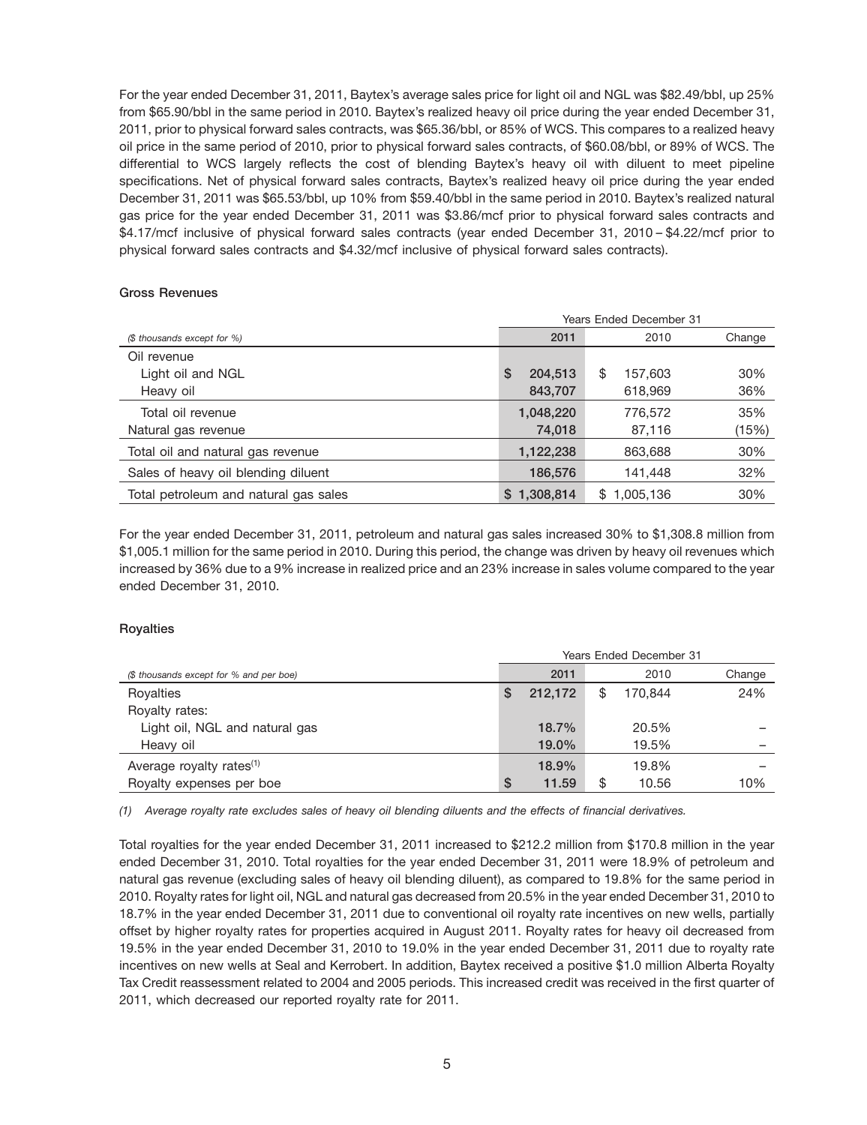For the year ended December 31, 2011, Baytex's average sales price for light oil and NGL was \$82.49/bbl, up 25% from \$65.90/bbl in the same period in 2010. Baytex's realized heavy oil price during the year ended December 31, 2011, prior to physical forward sales contracts, was \$65.36/bbl, or 85% of WCS. This compares to a realized heavy oil price in the same period of 2010, prior to physical forward sales contracts, of \$60.08/bbl, or 89% of WCS. The differential to WCS largely reflects the cost of blending Baytex's heavy oil with diluent to meet pipeline specifications. Net of physical forward sales contracts, Baytex's realized heavy oil price during the year ended December 31, 2011 was \$65.53/bbl, up 10% from \$59.40/bbl in the same period in 2010. Baytex's realized natural gas price for the year ended December 31, 2011 was \$3.86/mcf prior to physical forward sales contracts and \$4.17/mcf inclusive of physical forward sales contracts (year ended December 31, 2010 – \$4.22/mcf prior to physical forward sales contracts and \$4.32/mcf inclusive of physical forward sales contracts).

#### **Gross Revenues**

|                                       | <b>Years Ended December 31</b> |                  |        |  |  |  |  |
|---------------------------------------|--------------------------------|------------------|--------|--|--|--|--|
| (\$ thousands except for %)           | 2011                           | 2010             | Change |  |  |  |  |
| Oil revenue                           |                                |                  |        |  |  |  |  |
| Light oil and NGL                     | \$<br>204,513                  | 157,603<br>S     | 30%    |  |  |  |  |
| Heavy oil                             | 843,707                        | 618,969          | 36%    |  |  |  |  |
| Total oil revenue                     | 1,048,220                      | 776,572          | 35%    |  |  |  |  |
| Natural gas revenue                   | 74,018                         | 87,116           | (15%)  |  |  |  |  |
| Total oil and natural gas revenue     | 1,122,238                      | 863,688          | 30%    |  |  |  |  |
| Sales of heavy oil blending diluent   | 186,576                        | 141,448          | 32%    |  |  |  |  |
| Total petroleum and natural gas sales | 1,308,814<br>\$.               | 1,005,136<br>\$. | 30%    |  |  |  |  |

For the year ended December 31, 2011, petroleum and natural gas sales increased 30% to \$1,308.8 million from \$1,005.1 million for the same period in 2010. During this period, the change was driven by heavy oil revenues which increased by 36% due to a 9% increase in realized price and an 23% increase in sales volume compared to the year ended December 31, 2010.

#### **Royalties**

|                                         | <b>Years Ended December 31</b> |         |  |         |        |  |  |
|-----------------------------------------|--------------------------------|---------|--|---------|--------|--|--|
| (\$ thousands except for % and per boe) |                                | 2011    |  | 2010    | Change |  |  |
| Royalties                               | \$                             | 212.172 |  | 170.844 | 24%    |  |  |
| Royalty rates:                          |                                |         |  |         |        |  |  |
| Light oil, NGL and natural gas          |                                | 18.7%   |  | 20.5%   |        |  |  |
| Heavy oil                               |                                | 19.0%   |  | 19.5%   |        |  |  |
| Average royalty rates <sup>(1)</sup>    |                                | 18.9%   |  | 19.8%   |        |  |  |
| Royalty expenses per boe                | \$                             | 11.59   |  | 10.56   | 10%    |  |  |

*(1) Average royalty rate excludes sales of heavy oil blending diluents and the effects of financial derivatives.*

Total royalties for the year ended December 31, 2011 increased to \$212.2 million from \$170.8 million in the year ended December 31, 2010. Total royalties for the year ended December 31, 2011 were 18.9% of petroleum and natural gas revenue (excluding sales of heavy oil blending diluent), as compared to 19.8% for the same period in 2010. Royalty rates for light oil, NGL and natural gas decreased from 20.5% in the year ended December 31, 2010 to 18.7% in the year ended December 31, 2011 due to conventional oil royalty rate incentives on new wells, partially offset by higher royalty rates for properties acquired in August 2011. Royalty rates for heavy oil decreased from 19.5% in the year ended December 31, 2010 to 19.0% in the year ended December 31, 2011 due to royalty rate incentives on new wells at Seal and Kerrobert. In addition, Baytex received a positive \$1.0 million Alberta Royalty Tax Credit reassessment related to 2004 and 2005 periods. This increased credit was received in the first quarter of 2011, which decreased our reported royalty rate for 2011.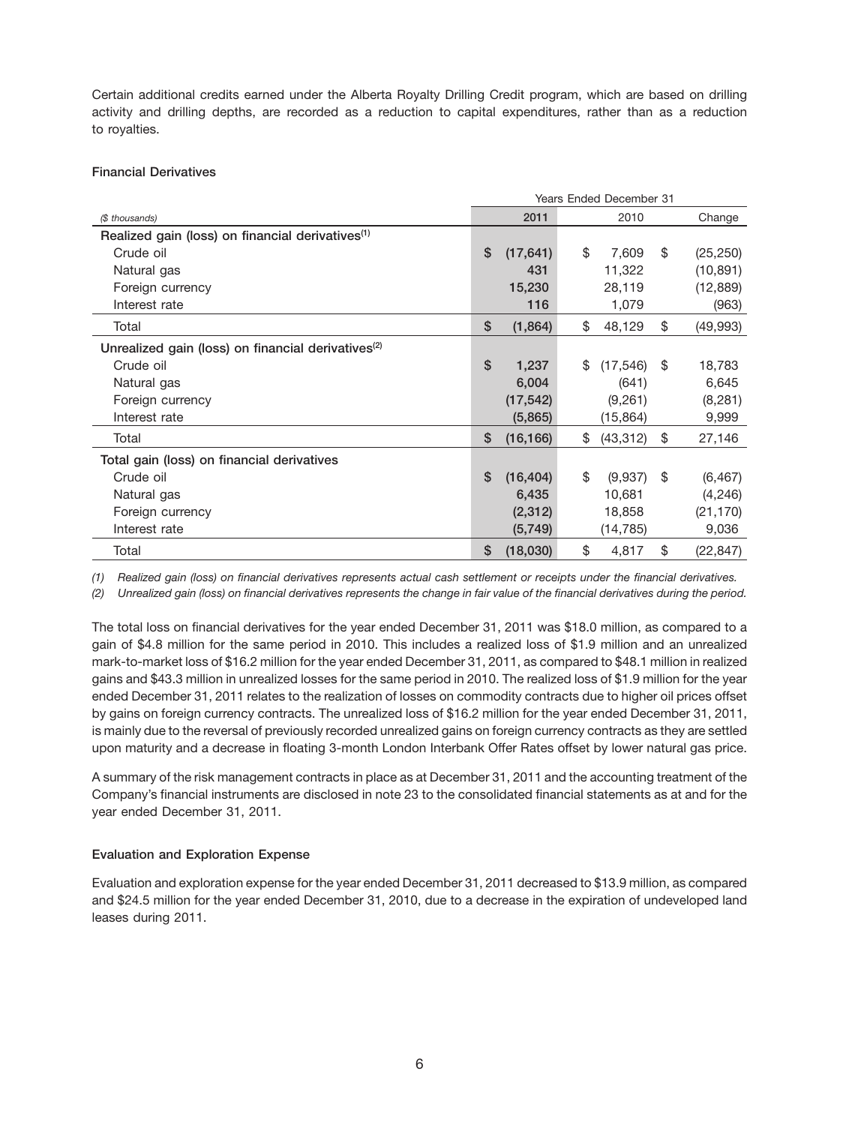Certain additional credits earned under the Alberta Royalty Drilling Credit program, which are based on drilling activity and drilling depths, are recorded as a reduction to capital expenditures, rather than as a reduction to royalties.

# **Financial Derivatives**

|                                                                |              | Years Ended December 31 |    |           |     |           |
|----------------------------------------------------------------|--------------|-------------------------|----|-----------|-----|-----------|
| (\$ thousands)                                                 |              | 2011                    |    | 2010      |     | Change    |
| Realized gain (loss) on financial derivatives <sup>(1)</sup>   |              |                         |    |           |     |           |
| Crude oil                                                      | \$           | (17, 641)               | \$ | 7,609     | \$  | (25, 250) |
| Natural gas                                                    |              | 431                     |    | 11,322    |     | (10, 891) |
| Foreign currency                                               |              | 15,230                  |    | 28,119    |     | (12, 889) |
| Interest rate                                                  |              | 116                     |    | 1,079     |     | (963)     |
| Total                                                          | \$           | (1,864)                 | \$ | 48,129    | \$  | (49,993)  |
| Unrealized gain (loss) on financial derivatives <sup>(2)</sup> |              |                         |    |           |     |           |
| Crude oil                                                      | $\mathbf{s}$ | 1,237                   | \$ | (17, 546) | -\$ | 18,783    |
| Natural gas                                                    |              | 6,004                   |    | (641)     |     | 6,645     |
| Foreign currency                                               |              | (17, 542)               |    | (9,261)   |     | (8,281)   |
| Interest rate                                                  |              | (5,865)                 |    | (15, 864) |     | 9,999     |
| Total                                                          | \$           | (16, 166)               | \$ | (43, 312) | \$  | 27,146    |
| Total gain (loss) on financial derivatives                     |              |                         |    |           |     |           |
| Crude oil                                                      | \$           | (16, 404)               | \$ | (9,937)   | -\$ | (6, 467)  |
| Natural gas                                                    |              | 6,435                   |    | 10,681    |     | (4, 246)  |
| Foreign currency                                               |              | (2, 312)                |    | 18,858    |     | (21, 170) |
| Interest rate                                                  |              | (5,749)                 |    | (14, 785) |     | 9,036     |
| Total                                                          | \$           | (18,030)                | \$ | 4,817     | \$  | (22, 847) |

*(1) Realized gain (loss) on financial derivatives represents actual cash settlement or receipts under the financial derivatives.*

*(2) Unrealized gain (loss) on financial derivatives represents the change in fair value of the financial derivatives during the period.*

The total loss on financial derivatives for the year ended December 31, 2011 was \$18.0 million, as compared to a gain of \$4.8 million for the same period in 2010. This includes a realized loss of \$1.9 million and an unrealized mark-to-market loss of \$16.2 million for the year ended December 31, 2011, as compared to \$48.1 million in realized gains and \$43.3 million in unrealized losses for the same period in 2010. The realized loss of \$1.9 million for the year ended December 31, 2011 relates to the realization of losses on commodity contracts due to higher oil prices offset by gains on foreign currency contracts. The unrealized loss of \$16.2 million for the year ended December 31, 2011, is mainly due to the reversal of previously recorded unrealized gains on foreign currency contracts as they are settled upon maturity and a decrease in floating 3-month London Interbank Offer Rates offset by lower natural gas price.

A summary of the risk management contracts in place as at December 31, 2011 and the accounting treatment of the Company's financial instruments are disclosed in note 23 to the consolidated financial statements as at and for the year ended December 31, 2011.

#### **Evaluation and Exploration Expense**

Evaluation and exploration expense for the year ended December 31, 2011 decreased to \$13.9 million, as compared and \$24.5 million for the year ended December 31, 2010, due to a decrease in the expiration of undeveloped land leases during 2011.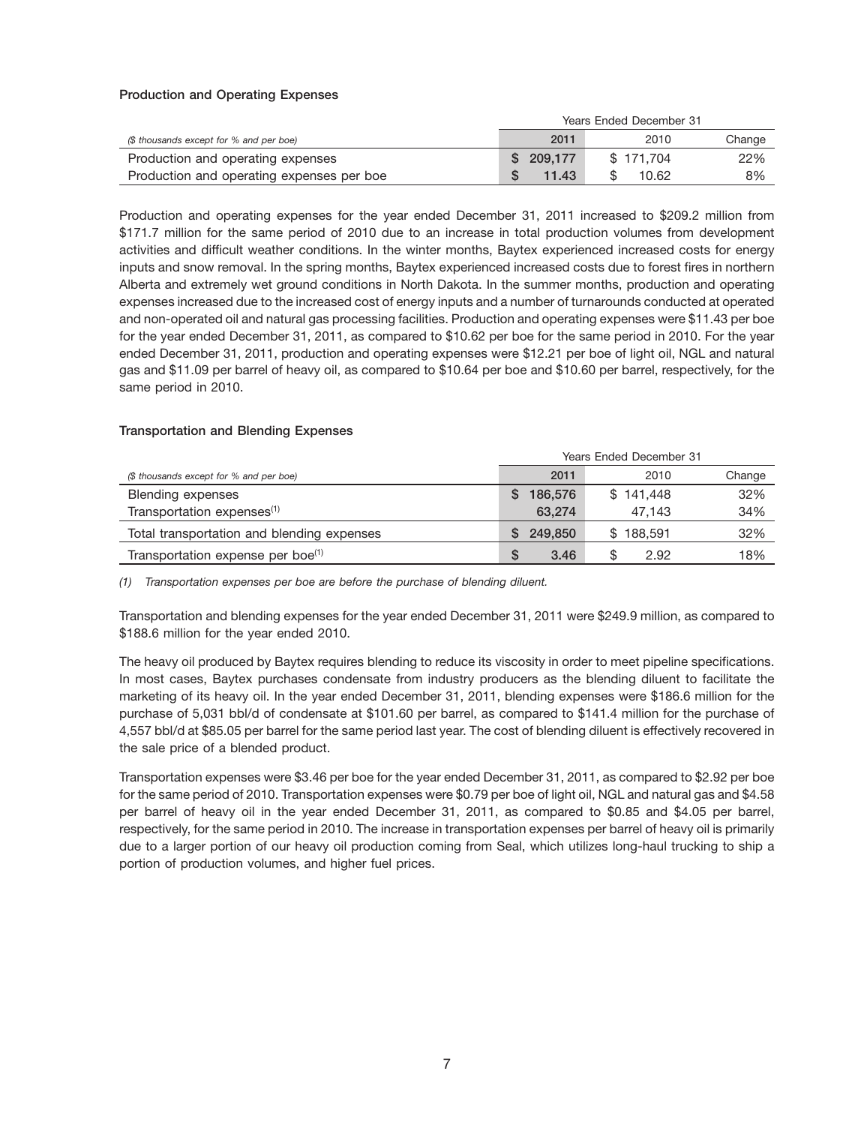# **Production and Operating Expenses**

|                                           | Years Ended December 31 |           |        |  |  |
|-------------------------------------------|-------------------------|-----------|--------|--|--|
| (\$ thousands except for % and per boe)   | 2011                    | 2010      | Change |  |  |
| Production and operating expenses         | \$209.177               | \$171.704 | 22%    |  |  |
| Production and operating expenses per boe | 11.43                   | 10.62     | 8%     |  |  |

Production and operating expenses for the year ended December 31, 2011 increased to \$209.2 million from \$171.7 million for the same period of 2010 due to an increase in total production volumes from development activities and difficult weather conditions. In the winter months, Baytex experienced increased costs for energy inputs and snow removal. In the spring months, Baytex experienced increased costs due to forest fires in northern Alberta and extremely wet ground conditions in North Dakota. In the summer months, production and operating expenses increased due to the increased cost of energy inputs and a number of turnarounds conducted at operated and non-operated oil and natural gas processing facilities. Production and operating expenses were \$11.43 per boe for the year ended December 31, 2011, as compared to \$10.62 per boe for the same period in 2010. For the year ended December 31, 2011, production and operating expenses were \$12.21 per boe of light oil, NGL and natural gas and \$11.09 per barrel of heavy oil, as compared to \$10.64 per boe and \$10.60 per barrel, respectively, for the same period in 2010.

#### **Transportation and Blending Expenses**

|                                               | Years Ended December 31 |            |     |  |
|-----------------------------------------------|-------------------------|------------|-----|--|
| (\$ thousands except for % and per boe)       | 2011                    | Change     |     |  |
| Blending expenses                             | 186,576                 | \$141.448  | 32% |  |
| Transportation expenses <sup>(1)</sup>        | 63,274                  | 47.143     | 34% |  |
| Total transportation and blending expenses    | 249,850                 | \$188.591  | 32% |  |
| Transportation expense per boe <sup>(1)</sup> | 3.46                    | \$<br>2.92 | 18% |  |

*(1) Transportation expenses per boe are before the purchase of blending diluent.*

Transportation and blending expenses for the year ended December 31, 2011 were \$249.9 million, as compared to \$188.6 million for the year ended 2010.

The heavy oil produced by Baytex requires blending to reduce its viscosity in order to meet pipeline specifications. In most cases, Baytex purchases condensate from industry producers as the blending diluent to facilitate the marketing of its heavy oil. In the year ended December 31, 2011, blending expenses were \$186.6 million for the purchase of 5,031 bbl/d of condensate at \$101.60 per barrel, as compared to \$141.4 million for the purchase of 4,557 bbl/d at \$85.05 per barrel for the same period last year. The cost of blending diluent is effectively recovered in the sale price of a blended product.

Transportation expenses were \$3.46 per boe for the year ended December 31, 2011, as compared to \$2.92 per boe for the same period of 2010. Transportation expenses were \$0.79 per boe of light oil, NGL and natural gas and \$4.58 per barrel of heavy oil in the year ended December 31, 2011, as compared to \$0.85 and \$4.05 per barrel, respectively, for the same period in 2010. The increase in transportation expenses per barrel of heavy oil is primarily due to a larger portion of our heavy oil production coming from Seal, which utilizes long-haul trucking to ship a portion of production volumes, and higher fuel prices.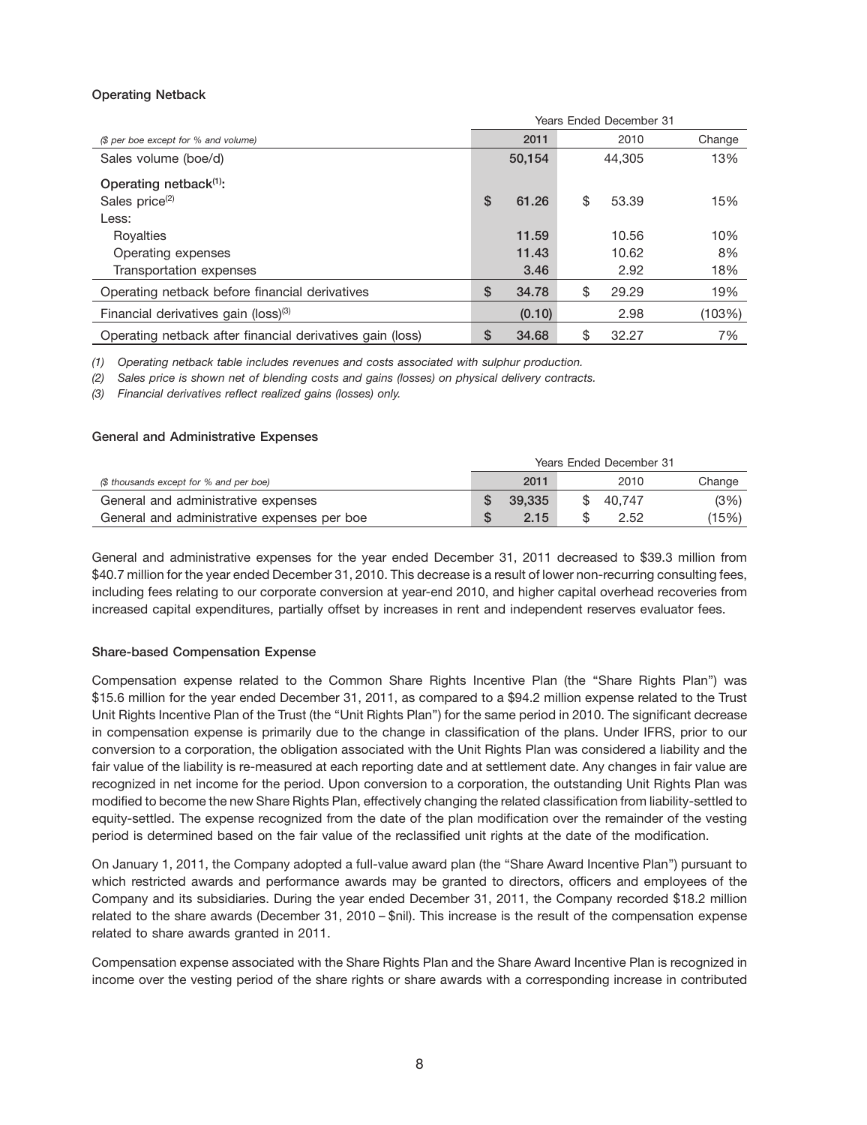# **Operating Netback**

|                                                           | Years Ended December 31 |        |    |        |        |
|-----------------------------------------------------------|-------------------------|--------|----|--------|--------|
| (\$ per boe except for % and volume)                      |                         | 2011   |    | 2010   | Change |
| Sales volume (boe/d)                                      |                         | 50,154 |    | 44.305 | 13%    |
| Operating netback <sup>(1)</sup> :                        |                         |        |    |        |        |
| Sales price <sup>(2)</sup>                                | \$                      | 61.26  | \$ | 53.39  | 15%    |
| Less:                                                     |                         |        |    |        |        |
| Royalties                                                 |                         | 11.59  |    | 10.56  | 10%    |
| Operating expenses                                        |                         | 11.43  |    | 10.62  | 8%     |
| Transportation expenses                                   |                         | 3.46   |    | 2.92   | 18%    |
| Operating netback before financial derivatives            | \$                      | 34.78  | \$ | 29.29  | 19%    |
| Financial derivatives gain (loss) <sup>(3)</sup>          |                         | (0.10) |    | 2.98   | (103%) |
| Operating netback after financial derivatives gain (loss) | S                       | 34.68  | \$ | 32.27  | 7%     |

*(1) Operating netback table includes revenues and costs associated with sulphur production.*

*(2) Sales price is shown net of blending costs and gains (losses) on physical delivery contracts.*

*(3) Financial derivatives reflect realized gains (losses) only.*

#### **General and Administrative Expenses**

|                                             | Years Ended December 31 |        |  |           |        |
|---------------------------------------------|-------------------------|--------|--|-----------|--------|
| (\$ thousands except for % and per boe)     |                         | 2011   |  | 2010      | Change |
| General and administrative expenses         |                         | 39.335 |  | \$ 40.747 | (3%)   |
| General and administrative expenses per boe |                         | 2.15   |  | 2.52      | (15%)  |

General and administrative expenses for the year ended December 31, 2011 decreased to \$39.3 million from \$40.7 million for the year ended December 31, 2010. This decrease is a result of lower non-recurring consulting fees, including fees relating to our corporate conversion at year-end 2010, and higher capital overhead recoveries from increased capital expenditures, partially offset by increases in rent and independent reserves evaluator fees.

#### **Share-based Compensation Expense**

Compensation expense related to the Common Share Rights Incentive Plan (the ''Share Rights Plan'') was \$15.6 million for the year ended December 31, 2011, as compared to a \$94.2 million expense related to the Trust Unit Rights Incentive Plan of the Trust (the ''Unit Rights Plan'') for the same period in 2010. The significant decrease in compensation expense is primarily due to the change in classification of the plans. Under IFRS, prior to our conversion to a corporation, the obligation associated with the Unit Rights Plan was considered a liability and the fair value of the liability is re-measured at each reporting date and at settlement date. Any changes in fair value are recognized in net income for the period. Upon conversion to a corporation, the outstanding Unit Rights Plan was modified to become the new Share Rights Plan, effectively changing the related classification from liability-settled to equity-settled. The expense recognized from the date of the plan modification over the remainder of the vesting period is determined based on the fair value of the reclassified unit rights at the date of the modification.

On January 1, 2011, the Company adopted a full-value award plan (the ''Share Award Incentive Plan'') pursuant to which restricted awards and performance awards may be granted to directors, officers and employees of the Company and its subsidiaries. During the year ended December 31, 2011, the Company recorded \$18.2 million related to the share awards (December 31, 2010 – \$nil). This increase is the result of the compensation expense related to share awards granted in 2011.

Compensation expense associated with the Share Rights Plan and the Share Award Incentive Plan is recognized in income over the vesting period of the share rights or share awards with a corresponding increase in contributed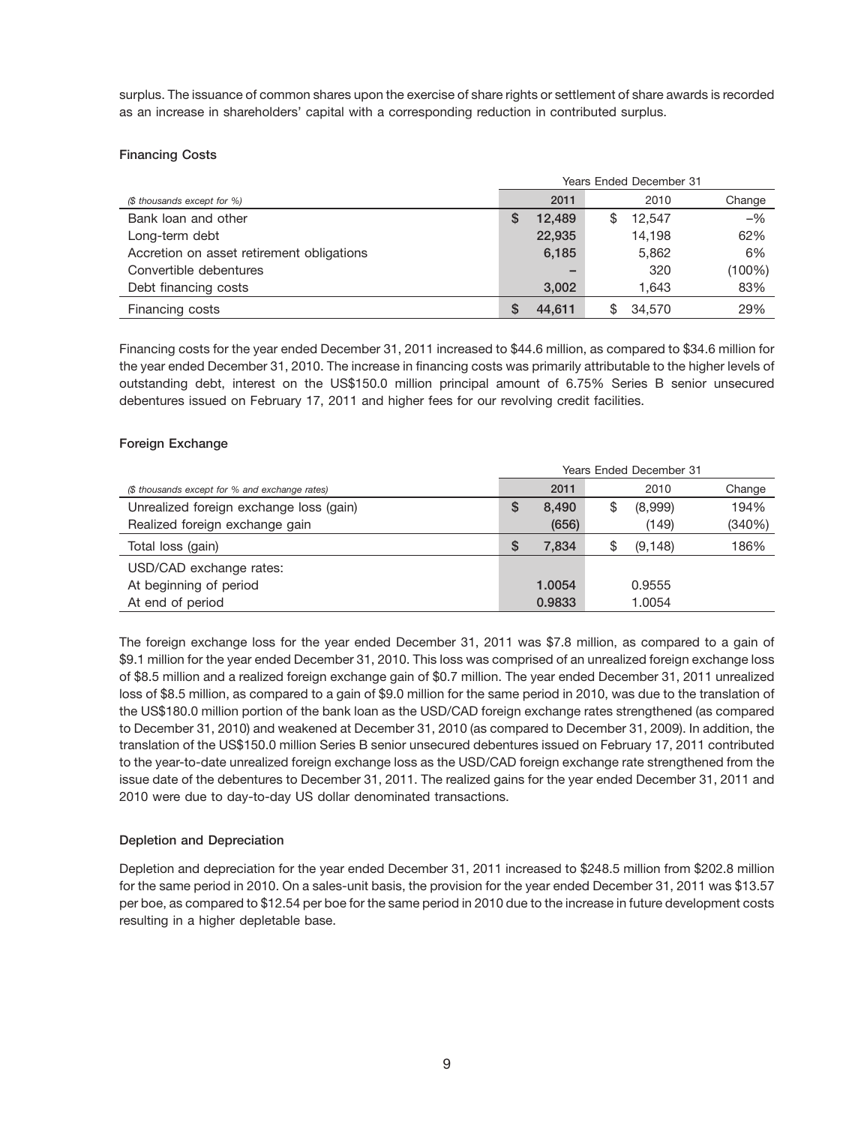surplus. The issuance of common shares upon the exercise of share rights or settlement of share awards is recorded as an increase in shareholders' capital with a corresponding reduction in contributed surplus.

# **Financing Costs**

|                                           | <b>Years Ended December 31</b> |        |    |        |        |
|-------------------------------------------|--------------------------------|--------|----|--------|--------|
| (\$ thousands except for %)               |                                | 2011   |    | 2010   | Change |
| Bank loan and other                       |                                | 12.489 | \$ | 12.547 | $-$ %  |
| Long-term debt                            |                                | 22,935 |    | 14.198 | 62%    |
| Accretion on asset retirement obligations |                                | 6,185  |    | 5,862  | 6%     |
| Convertible debentures                    |                                |        |    | 320    | (100%) |
| Debt financing costs                      |                                | 3,002  |    | 1.643  | 83%    |
| Financing costs                           |                                | 44.611 | \$ | 34,570 | 29%    |

Financing costs for the year ended December 31, 2011 increased to \$44.6 million, as compared to \$34.6 million for the year ended December 31, 2010. The increase in financing costs was primarily attributable to the higher levels of outstanding debt, interest on the US\$150.0 million principal amount of 6.75% Series B senior unsecured debentures issued on February 17, 2011 and higher fees for our revolving credit facilities.

# **Foreign Exchange**

|                                                | Years Ended December 31 |        |    |          |        |
|------------------------------------------------|-------------------------|--------|----|----------|--------|
| (\$ thousands except for % and exchange rates) |                         | 2011   |    | 2010     | Change |
| Unrealized foreign exchange loss (gain)        | S                       | 8,490  | \$ | (8,999)  | 194%   |
| Realized foreign exchange gain                 |                         | (656)  |    | (149)    | (340%) |
| Total loss (gain)                              | S                       | 7.834  | \$ | (9, 148) | 186%   |
| USD/CAD exchange rates:                        |                         |        |    |          |        |
| At beginning of period                         |                         | 1.0054 |    | 0.9555   |        |
| At end of period                               |                         | 0.9833 |    | 1.0054   |        |

The foreign exchange loss for the year ended December 31, 2011 was \$7.8 million, as compared to a gain of \$9.1 million for the year ended December 31, 2010. This loss was comprised of an unrealized foreign exchange loss of \$8.5 million and a realized foreign exchange gain of \$0.7 million. The year ended December 31, 2011 unrealized loss of \$8.5 million, as compared to a gain of \$9.0 million for the same period in 2010, was due to the translation of the US\$180.0 million portion of the bank loan as the USD/CAD foreign exchange rates strengthened (as compared to December 31, 2010) and weakened at December 31, 2010 (as compared to December 31, 2009). In addition, the translation of the US\$150.0 million Series B senior unsecured debentures issued on February 17, 2011 contributed to the year-to-date unrealized foreign exchange loss as the USD/CAD foreign exchange rate strengthened from the issue date of the debentures to December 31, 2011. The realized gains for the year ended December 31, 2011 and 2010 were due to day-to-day US dollar denominated transactions.

# **Depletion and Depreciation**

Depletion and depreciation for the year ended December 31, 2011 increased to \$248.5 million from \$202.8 million for the same period in 2010. On a sales-unit basis, the provision for the year ended December 31, 2011 was \$13.57 per boe, as compared to \$12.54 per boe for the same period in 2010 due to the increase in future development costs resulting in a higher depletable base.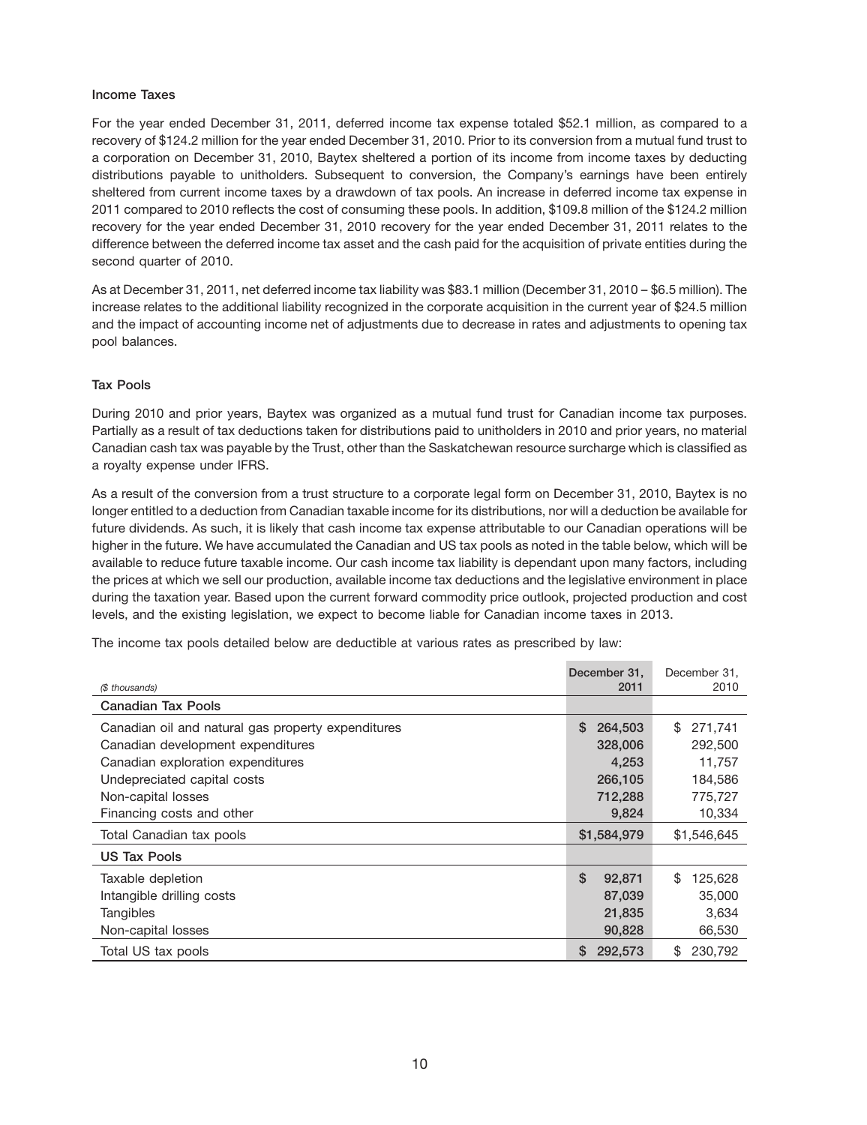#### **Income Taxes**

For the year ended December 31, 2011, deferred income tax expense totaled \$52.1 million, as compared to a recovery of \$124.2 million for the year ended December 31, 2010. Prior to its conversion from a mutual fund trust to a corporation on December 31, 2010, Baytex sheltered a portion of its income from income taxes by deducting distributions payable to unitholders. Subsequent to conversion, the Company's earnings have been entirely sheltered from current income taxes by a drawdown of tax pools. An increase in deferred income tax expense in 2011 compared to 2010 reflects the cost of consuming these pools. In addition, \$109.8 million of the \$124.2 million recovery for the year ended December 31, 2010 recovery for the year ended December 31, 2011 relates to the difference between the deferred income tax asset and the cash paid for the acquisition of private entities during the second quarter of 2010.

As at December 31, 2011, net deferred income tax liability was \$83.1 million (December 31, 2010 – \$6.5 million). The increase relates to the additional liability recognized in the corporate acquisition in the current year of \$24.5 million and the impact of accounting income net of adjustments due to decrease in rates and adjustments to opening tax pool balances.

## **Tax Pools**

During 2010 and prior years, Baytex was organized as a mutual fund trust for Canadian income tax purposes. Partially as a result of tax deductions taken for distributions paid to unitholders in 2010 and prior years, no material Canadian cash tax was payable by the Trust, other than the Saskatchewan resource surcharge which is classified as a royalty expense under IFRS.

As a result of the conversion from a trust structure to a corporate legal form on December 31, 2010, Baytex is no longer entitled to a deduction from Canadian taxable income for its distributions, nor will a deduction be available for future dividends. As such, it is likely that cash income tax expense attributable to our Canadian operations will be higher in the future. We have accumulated the Canadian and US tax pools as noted in the table below, which will be available to reduce future taxable income. Our cash income tax liability is dependant upon many factors, including the prices at which we sell our production, available income tax deductions and the legislative environment in place during the taxation year. Based upon the current forward commodity price outlook, projected production and cost levels, and the existing legislation, we expect to become liable for Canadian income taxes in 2013.

The income tax pools detailed below are deductible at various rates as prescribed by law:

|                                                    | December 31.  | December 31.  |
|----------------------------------------------------|---------------|---------------|
| (\$ thousands)                                     | 2011          | 2010          |
| <b>Canadian Tax Pools</b>                          |               |               |
| Canadian oil and natural gas property expenditures | \$<br>264,503 | \$<br>271.741 |
| Canadian development expenditures                  | 328,006       | 292,500       |
| Canadian exploration expenditures                  | 4,253         | 11,757        |
| Undepreciated capital costs                        | 266,105       | 184,586       |
| Non-capital losses                                 | 712,288       | 775,727       |
| Financing costs and other                          | 9,824         | 10,334        |
| Total Canadian tax pools                           | \$1,584,979   | \$1,546,645   |
| US Tax Pools                                       |               |               |
| Taxable depletion                                  | \$<br>92,871  | \$<br>125,628 |
| Intangible drilling costs                          | 87,039        | 35,000        |
| Tangibles                                          | 21,835        | 3,634         |
| Non-capital losses                                 | 90,828        | 66,530        |
| Total US tax pools                                 | S<br>292,573  | \$<br>230.792 |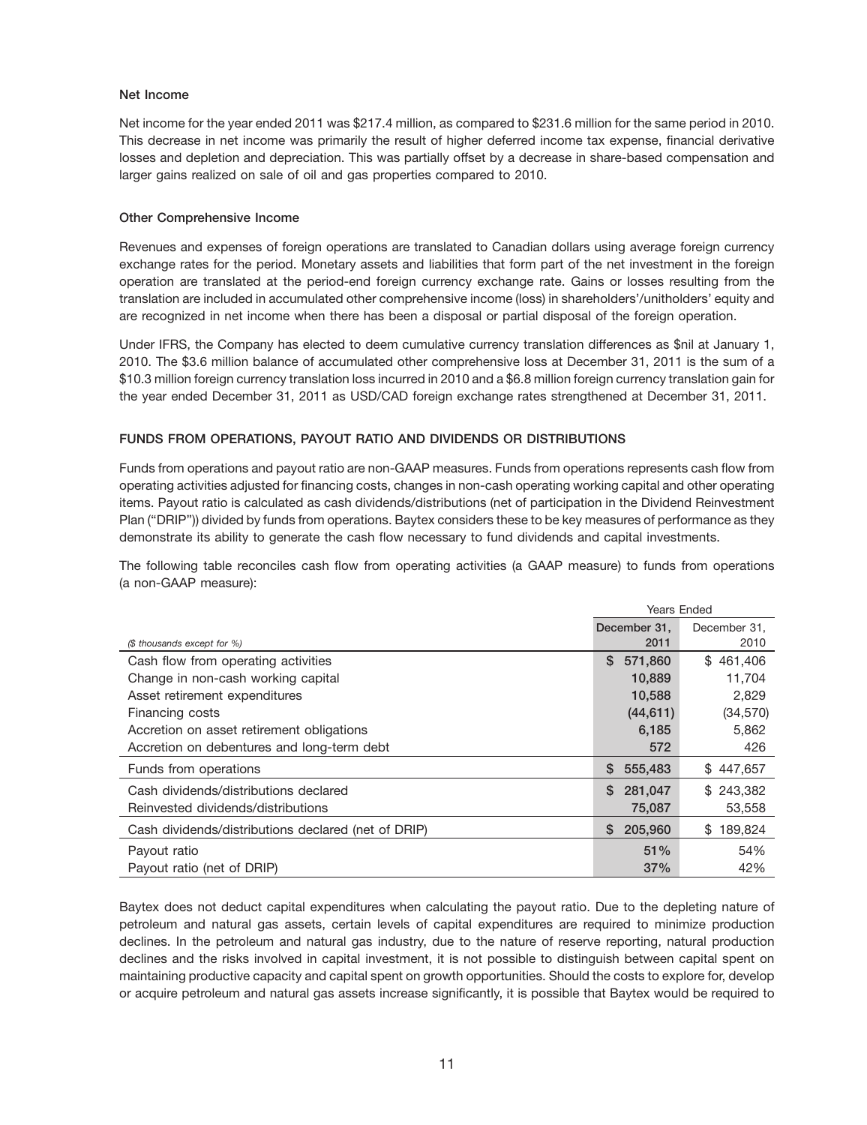## **Net Income**

Net income for the year ended 2011 was \$217.4 million, as compared to \$231.6 million for the same period in 2010. This decrease in net income was primarily the result of higher deferred income tax expense, financial derivative losses and depletion and depreciation. This was partially offset by a decrease in share-based compensation and larger gains realized on sale of oil and gas properties compared to 2010.

## **Other Comprehensive Income**

Revenues and expenses of foreign operations are translated to Canadian dollars using average foreign currency exchange rates for the period. Monetary assets and liabilities that form part of the net investment in the foreign operation are translated at the period-end foreign currency exchange rate. Gains or losses resulting from the translation are included in accumulated other comprehensive income (loss) in shareholders'/unitholders' equity and are recognized in net income when there has been a disposal or partial disposal of the foreign operation.

Under IFRS, the Company has elected to deem cumulative currency translation differences as \$nil at January 1, 2010. The \$3.6 million balance of accumulated other comprehensive loss at December 31, 2011 is the sum of a \$10.3 million foreign currency translation loss incurred in 2010 and a \$6.8 million foreign currency translation gain for the year ended December 31, 2011 as USD/CAD foreign exchange rates strengthened at December 31, 2011.

# **FUNDS FROM OPERATIONS, PAYOUT RATIO AND DIVIDENDS OR DISTRIBUTIONS**

Funds from operations and payout ratio are non-GAAP measures. Funds from operations represents cash flow from operating activities adjusted for financing costs, changes in non-cash operating working capital and other operating items. Payout ratio is calculated as cash dividends/distributions (net of participation in the Dividend Reinvestment Plan (''DRIP'')) divided by funds from operations. Baytex considers these to be key measures of performance as they demonstrate its ability to generate the cash flow necessary to fund dividends and capital investments.

The following table reconciles cash flow from operating activities (a GAAP measure) to funds from operations (a non-GAAP measure):

|                                                     | <b>Years Ended</b> |               |
|-----------------------------------------------------|--------------------|---------------|
|                                                     | December 31.       | December 31.  |
| (\$ thousands except for %)                         | 2011               | 2010          |
| Cash flow from operating activities                 | \$<br>571,860      | \$461,406     |
| Change in non-cash working capital                  | 10,889             | 11,704        |
| Asset retirement expenditures                       | 10,588             | 2,829         |
| Financing costs                                     | (44, 611)          | (34, 570)     |
| Accretion on asset retirement obligations           | 6,185              | 5,862         |
| Accretion on debentures and long-term debt          | 572                | 426           |
| Funds from operations                               | 555,483<br>S.      | \$447,657     |
| Cash dividends/distributions declared               | S<br>281,047       | \$243.382     |
| Reinvested dividends/distributions                  | 75,087             | 53,558        |
| Cash dividends/distributions declared (net of DRIP) | 205,960<br>S.      | 189,824<br>\$ |
| Payout ratio                                        | 51%                | 54%           |
| Payout ratio (net of DRIP)                          | 37%                | 42%           |

Baytex does not deduct capital expenditures when calculating the payout ratio. Due to the depleting nature of petroleum and natural gas assets, certain levels of capital expenditures are required to minimize production declines. In the petroleum and natural gas industry, due to the nature of reserve reporting, natural production declines and the risks involved in capital investment, it is not possible to distinguish between capital spent on maintaining productive capacity and capital spent on growth opportunities. Should the costs to explore for, develop or acquire petroleum and natural gas assets increase significantly, it is possible that Baytex would be required to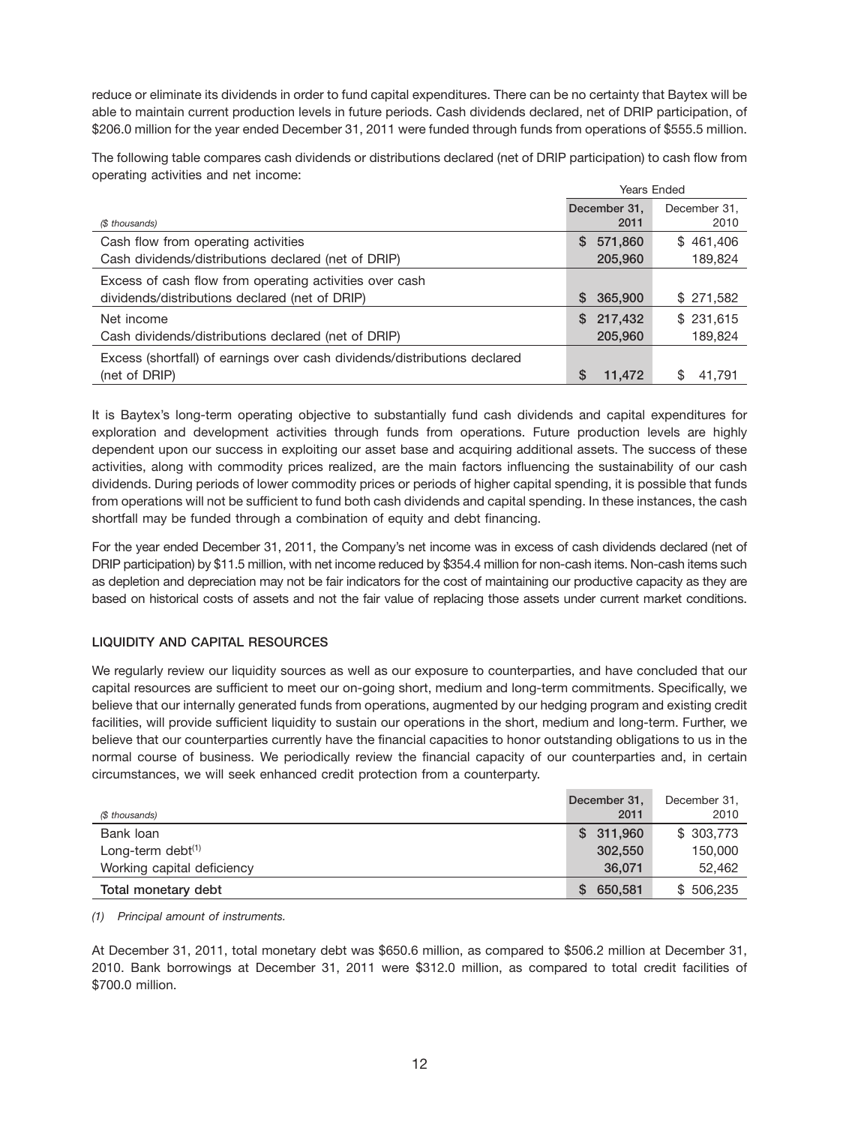reduce or eliminate its dividends in order to fund capital expenditures. There can be no certainty that Baytex will be able to maintain current production levels in future periods. Cash dividends declared, net of DRIP participation, of \$206.0 million for the year ended December 31, 2011 were funded through funds from operations of \$555.5 million.

The following table compares cash dividends or distributions declared (net of DRIP participation) to cash flow from operating activities and net income:

|                                                                           | <b>Years Ended</b>   |                      |
|---------------------------------------------------------------------------|----------------------|----------------------|
| (\$ thousands)                                                            | December 31.<br>2011 | December 31.<br>2010 |
| Cash flow from operating activities                                       | 571,860<br>S.        | \$461,406            |
| Cash dividends/distributions declared (net of DRIP)                       | 205,960              | 189,824              |
| Excess of cash flow from operating activities over cash                   |                      |                      |
| dividends/distributions declared (net of DRIP)                            | 365,900<br>S.        | \$271,582            |
| Net income                                                                | 217,432<br>SS.       | \$231.615            |
| Cash dividends/distributions declared (net of DRIP)                       | 205,960              | 189,824              |
| Excess (shortfall) of earnings over cash dividends/distributions declared |                      |                      |
| (net of DRIP)                                                             | S<br>11,472          | S<br>41.791          |

It is Baytex's long-term operating objective to substantially fund cash dividends and capital expenditures for exploration and development activities through funds from operations. Future production levels are highly dependent upon our success in exploiting our asset base and acquiring additional assets. The success of these activities, along with commodity prices realized, are the main factors influencing the sustainability of our cash dividends. During periods of lower commodity prices or periods of higher capital spending, it is possible that funds from operations will not be sufficient to fund both cash dividends and capital spending. In these instances, the cash shortfall may be funded through a combination of equity and debt financing.

For the year ended December 31, 2011, the Company's net income was in excess of cash dividends declared (net of DRIP participation) by \$11.5 million, with net income reduced by \$354.4 million for non-cash items. Non-cash items such as depletion and depreciation may not be fair indicators for the cost of maintaining our productive capacity as they are based on historical costs of assets and not the fair value of replacing those assets under current market conditions.

# **LIQUIDITY AND CAPITAL RESOURCES**

We regularly review our liquidity sources as well as our exposure to counterparties, and have concluded that our capital resources are sufficient to meet our on-going short, medium and long-term commitments. Specifically, we believe that our internally generated funds from operations, augmented by our hedging program and existing credit facilities, will provide sufficient liquidity to sustain our operations in the short, medium and long-term. Further, we believe that our counterparties currently have the financial capacities to honor outstanding obligations to us in the normal course of business. We periodically review the financial capacity of our counterparties and, in certain circumstances, we will seek enhanced credit protection from a counterparty.

| (\$ thousands)             | December 31,<br>2011 | December 31,<br>2010 |
|----------------------------|----------------------|----------------------|
| Bank loan                  | \$311,960            | \$303,773            |
| Long-term debt $(1)$       | 302,550              | 150,000              |
| Working capital deficiency | 36,071               | 52,462               |
| Total monetary debt        | 650,581              | \$506,235            |

*(1) Principal amount of instruments.*

At December 31, 2011, total monetary debt was \$650.6 million, as compared to \$506.2 million at December 31, 2010. Bank borrowings at December 31, 2011 were \$312.0 million, as compared to total credit facilities of \$700.0 million.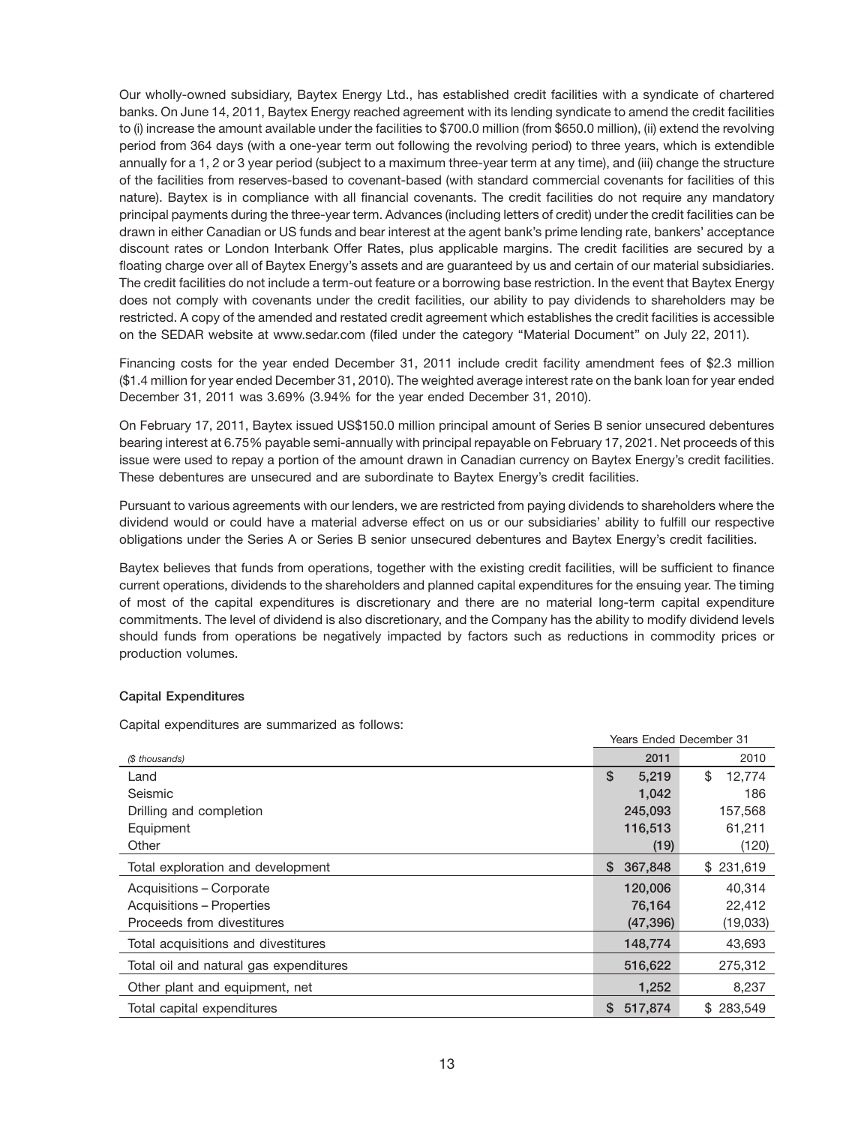Our wholly-owned subsidiary, Baytex Energy Ltd., has established credit facilities with a syndicate of chartered banks. On June 14, 2011, Baytex Energy reached agreement with its lending syndicate to amend the credit facilities to (i) increase the amount available under the facilities to \$700.0 million (from \$650.0 million), (ii) extend the revolving period from 364 days (with a one-year term out following the revolving period) to three years, which is extendible annually for a 1, 2 or 3 year period (subject to a maximum three-year term at any time), and (iii) change the structure of the facilities from reserves-based to covenant-based (with standard commercial covenants for facilities of this nature). Baytex is in compliance with all financial covenants. The credit facilities do not require any mandatory principal payments during the three-year term. Advances (including letters of credit) under the credit facilities can be drawn in either Canadian or US funds and bear interest at the agent bank's prime lending rate, bankers' acceptance discount rates or London Interbank Offer Rates, plus applicable margins. The credit facilities are secured by a floating charge over all of Baytex Energy's assets and are guaranteed by us and certain of our material subsidiaries. The credit facilities do not include a term-out feature or a borrowing base restriction. In the event that Baytex Energy does not comply with covenants under the credit facilities, our ability to pay dividends to shareholders may be restricted. A copy of the amended and restated credit agreement which establishes the credit facilities is accessible on the SEDAR website at www.sedar.com (filed under the category ''Material Document'' on July 22, 2011).

Financing costs for the year ended December 31, 2011 include credit facility amendment fees of \$2.3 million (\$1.4 million for year ended December 31, 2010). The weighted average interest rate on the bank loan for year ended December 31, 2011 was 3.69% (3.94% for the year ended December 31, 2010).

On February 17, 2011, Baytex issued US\$150.0 million principal amount of Series B senior unsecured debentures bearing interest at 6.75% payable semi-annually with principal repayable on February 17, 2021. Net proceeds of this issue were used to repay a portion of the amount drawn in Canadian currency on Baytex Energy's credit facilities. These debentures are unsecured and are subordinate to Baytex Energy's credit facilities.

Pursuant to various agreements with our lenders, we are restricted from paying dividends to shareholders where the dividend would or could have a material adverse effect on us or our subsidiaries' ability to fulfill our respective obligations under the Series A or Series B senior unsecured debentures and Baytex Energy's credit facilities.

Baytex believes that funds from operations, together with the existing credit facilities, will be sufficient to finance current operations, dividends to the shareholders and planned capital expenditures for the ensuing year. The timing of most of the capital expenditures is discretionary and there are no material long-term capital expenditure commitments. The level of dividend is also discretionary, and the Company has the ability to modify dividend levels should funds from operations be negatively impacted by factors such as reductions in commodity prices or production volumes.

Years Ended December 31

#### **Capital Expenditures**

Capital expenditures are summarized as follows:

|                                        | Tears Liided Deceniber 31 |              |
|----------------------------------------|---------------------------|--------------|
| (\$ thousands)                         | 2011                      | 2010         |
| Land                                   | \$<br>5,219               | \$<br>12,774 |
| Seismic                                | 1,042                     | 186          |
| Drilling and completion                | 245,093                   | 157,568      |
| Equipment                              | 116,513                   | 61,211       |
| Other                                  | (19)                      | (120)        |
| Total exploration and development      | 367,848<br>S.             | \$231,619    |
| Acquisitions - Corporate               | 120,006                   | 40.314       |
| Acquisitions - Properties              | 76,164                    | 22,412       |
| Proceeds from divestitures             | (47, 396)                 | (19,033)     |
| Total acquisitions and divestitures    | 148,774                   | 43,693       |
| Total oil and natural gas expenditures | 516,622                   | 275,312      |
| Other plant and equipment, net         | 1,252                     | 8,237        |
| Total capital expenditures             | 517,874<br>S.             | \$283.549    |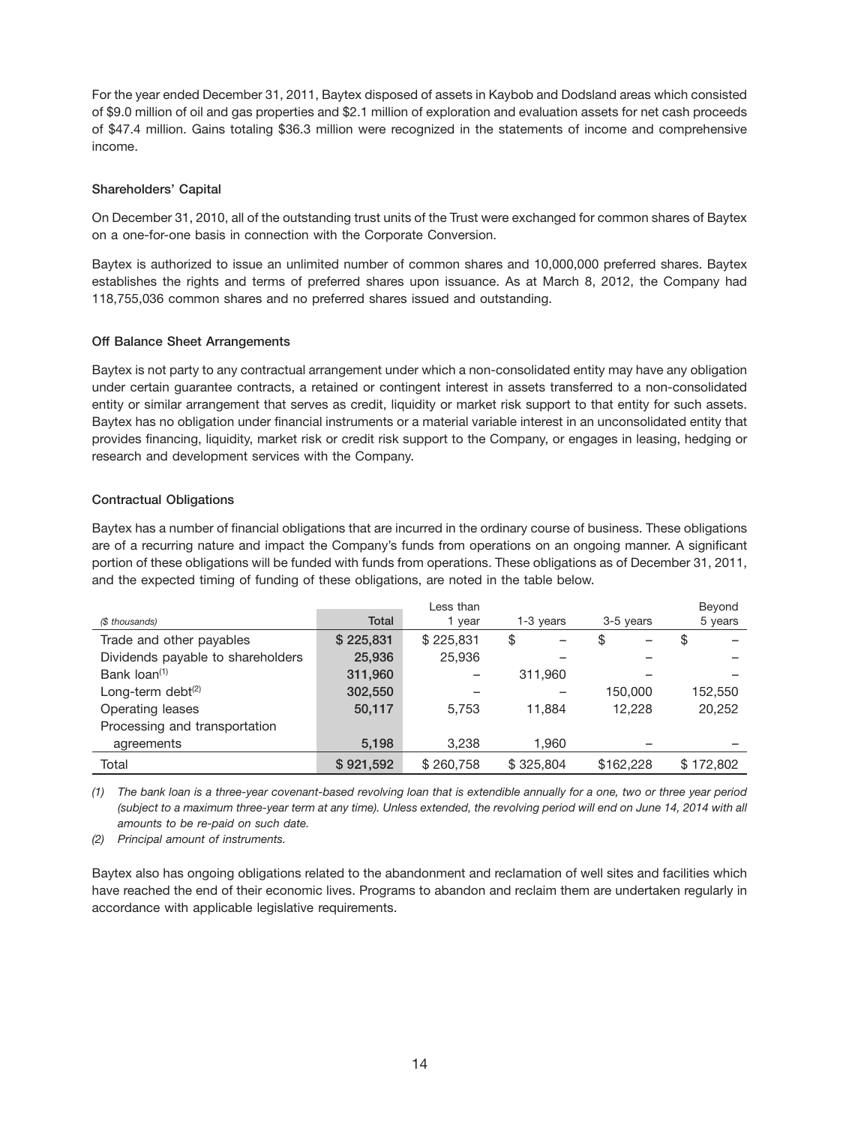For the year ended December 31, 2011, Baytex disposed of assets in Kaybob and Dodsland areas which consisted of \$9.0 million of oil and gas properties and \$2.1 million of exploration and evaluation assets for net cash proceeds of \$47.4 million. Gains totaling \$36.3 million were recognized in the statements of income and comprehensive income.

#### **Shareholders' Capital**

On December 31, 2010, all of the outstanding trust units of the Trust were exchanged for common shares of Baytex on a one-for-one basis in connection with the Corporate Conversion.

Baytex is authorized to issue an unlimited number of common shares and 10,000,000 preferred shares. Baytex establishes the rights and terms of preferred shares upon issuance. As at March 8, 2012, the Company had 118,755,036 common shares and no preferred shares issued and outstanding.

# **Off Balance Sheet Arrangements**

Baytex is not party to any contractual arrangement under which a non-consolidated entity may have any obligation under certain guarantee contracts, a retained or contingent interest in assets transferred to a non-consolidated entity or similar arrangement that serves as credit, liquidity or market risk support to that entity for such assets. Baytex has no obligation under financial instruments or a material variable interest in an unconsolidated entity that provides financing, liquidity, market risk or credit risk support to the Company, or engages in leasing, hedging or research and development services with the Company.

# **Contractual Obligations**

Baytex has a number of financial obligations that are incurred in the ordinary course of business. These obligations are of a recurring nature and impact the Company's funds from operations on an ongoing manner. A significant portion of these obligations will be funded with funds from operations. These obligations as of December 31, 2011, and the expected timing of funding of these obligations, are noted in the table below.

|                                   |              | Less than |           |           | Beyond    |
|-----------------------------------|--------------|-----------|-----------|-----------|-----------|
| (\$ thousands)                    | <b>Total</b> | 1 year    | 1-3 years | 3-5 years | 5 years   |
| Trade and other payables          | \$225,831    | \$225,831 | \$        | \$        | \$        |
| Dividends payable to shareholders | 25,936       | 25,936    |           |           |           |
| Bank loan <sup>(1)</sup>          | 311,960      |           | 311,960   |           |           |
| Long-term debt $(2)$              | 302,550      |           |           | 150.000   | 152,550   |
| Operating leases                  | 50,117       | 5.753     | 11.884    | 12.228    | 20,252    |
| Processing and transportation     |              |           |           |           |           |
| agreements                        | 5,198        | 3.238     | 1,960     |           |           |
| Total                             | \$921,592    | \$260,758 | \$325.804 | \$162,228 | \$172,802 |

*(1) The bank loan is a three-year covenant-based revolving loan that is extendible annually for a one, two or three year period (subject to a maximum three-year term at any time). Unless extended, the revolving period will end on June 14, 2014 with all amounts to be re-paid on such date.*

*(2) Principal amount of instruments.*

Baytex also has ongoing obligations related to the abandonment and reclamation of well sites and facilities which have reached the end of their economic lives. Programs to abandon and reclaim them are undertaken regularly in accordance with applicable legislative requirements.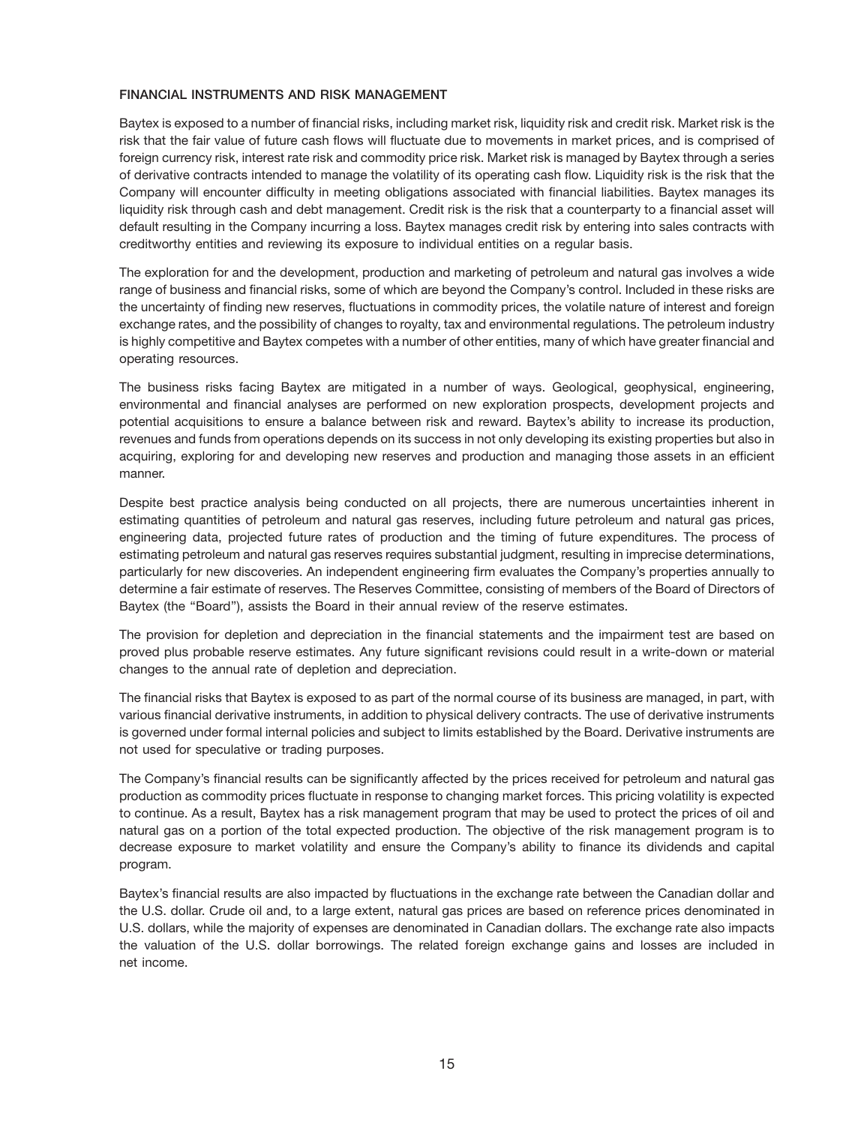#### **FINANCIAL INSTRUMENTS AND RISK MANAGEMENT**

Baytex is exposed to a number of financial risks, including market risk, liquidity risk and credit risk. Market risk is the risk that the fair value of future cash flows will fluctuate due to movements in market prices, and is comprised of foreign currency risk, interest rate risk and commodity price risk. Market risk is managed by Baytex through a series of derivative contracts intended to manage the volatility of its operating cash flow. Liquidity risk is the risk that the Company will encounter difficulty in meeting obligations associated with financial liabilities. Baytex manages its liquidity risk through cash and debt management. Credit risk is the risk that a counterparty to a financial asset will default resulting in the Company incurring a loss. Baytex manages credit risk by entering into sales contracts with creditworthy entities and reviewing its exposure to individual entities on a regular basis.

The exploration for and the development, production and marketing of petroleum and natural gas involves a wide range of business and financial risks, some of which are beyond the Company's control. Included in these risks are the uncertainty of finding new reserves, fluctuations in commodity prices, the volatile nature of interest and foreign exchange rates, and the possibility of changes to royalty, tax and environmental regulations. The petroleum industry is highly competitive and Baytex competes with a number of other entities, many of which have greater financial and operating resources.

The business risks facing Baytex are mitigated in a number of ways. Geological, geophysical, engineering, environmental and financial analyses are performed on new exploration prospects, development projects and potential acquisitions to ensure a balance between risk and reward. Baytex's ability to increase its production, revenues and funds from operations depends on its success in not only developing its existing properties but also in acquiring, exploring for and developing new reserves and production and managing those assets in an efficient manner.

Despite best practice analysis being conducted on all projects, there are numerous uncertainties inherent in estimating quantities of petroleum and natural gas reserves, including future petroleum and natural gas prices, engineering data, projected future rates of production and the timing of future expenditures. The process of estimating petroleum and natural gas reserves requires substantial judgment, resulting in imprecise determinations, particularly for new discoveries. An independent engineering firm evaluates the Company's properties annually to determine a fair estimate of reserves. The Reserves Committee, consisting of members of the Board of Directors of Baytex (the "Board"), assists the Board in their annual review of the reserve estimates.

The provision for depletion and depreciation in the financial statements and the impairment test are based on proved plus probable reserve estimates. Any future significant revisions could result in a write-down or material changes to the annual rate of depletion and depreciation.

The financial risks that Baytex is exposed to as part of the normal course of its business are managed, in part, with various financial derivative instruments, in addition to physical delivery contracts. The use of derivative instruments is governed under formal internal policies and subject to limits established by the Board. Derivative instruments are not used for speculative or trading purposes.

The Company's financial results can be significantly affected by the prices received for petroleum and natural gas production as commodity prices fluctuate in response to changing market forces. This pricing volatility is expected to continue. As a result, Baytex has a risk management program that may be used to protect the prices of oil and natural gas on a portion of the total expected production. The objective of the risk management program is to decrease exposure to market volatility and ensure the Company's ability to finance its dividends and capital program.

Baytex's financial results are also impacted by fluctuations in the exchange rate between the Canadian dollar and the U.S. dollar. Crude oil and, to a large extent, natural gas prices are based on reference prices denominated in U.S. dollars, while the majority of expenses are denominated in Canadian dollars. The exchange rate also impacts the valuation of the U.S. dollar borrowings. The related foreign exchange gains and losses are included in net income.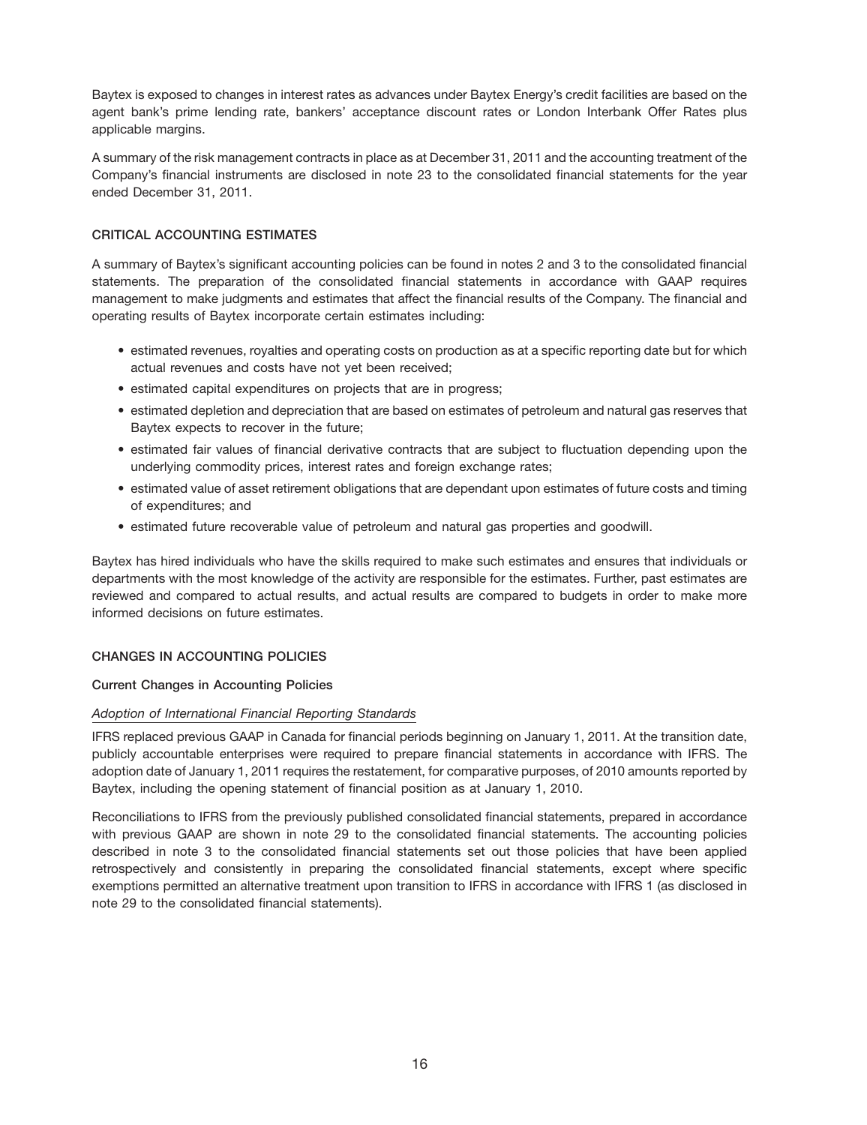Baytex is exposed to changes in interest rates as advances under Baytex Energy's credit facilities are based on the agent bank's prime lending rate, bankers' acceptance discount rates or London Interbank Offer Rates plus applicable margins.

A summary of the risk management contracts in place as at December 31, 2011 and the accounting treatment of the Company's financial instruments are disclosed in note 23 to the consolidated financial statements for the year ended December 31, 2011.

# **CRITICAL ACCOUNTING ESTIMATES**

A summary of Baytex's significant accounting policies can be found in notes 2 and 3 to the consolidated financial statements. The preparation of the consolidated financial statements in accordance with GAAP requires management to make judgments and estimates that affect the financial results of the Company. The financial and operating results of Baytex incorporate certain estimates including:

- estimated revenues, royalties and operating costs on production as at a specific reporting date but for which actual revenues and costs have not yet been received;
- estimated capital expenditures on projects that are in progress;
- estimated depletion and depreciation that are based on estimates of petroleum and natural gas reserves that Baytex expects to recover in the future;
- estimated fair values of financial derivative contracts that are subject to fluctuation depending upon the underlying commodity prices, interest rates and foreign exchange rates;
- estimated value of asset retirement obligations that are dependant upon estimates of future costs and timing of expenditures; and
- estimated future recoverable value of petroleum and natural gas properties and goodwill.

Baytex has hired individuals who have the skills required to make such estimates and ensures that individuals or departments with the most knowledge of the activity are responsible for the estimates. Further, past estimates are reviewed and compared to actual results, and actual results are compared to budgets in order to make more informed decisions on future estimates.

# **CHANGES IN ACCOUNTING POLICIES**

# **Current Changes in Accounting Policies**

# *Adoption of International Financial Reporting Standards*

IFRS replaced previous GAAP in Canada for financial periods beginning on January 1, 2011. At the transition date, publicly accountable enterprises were required to prepare financial statements in accordance with IFRS. The adoption date of January 1, 2011 requires the restatement, for comparative purposes, of 2010 amounts reported by Baytex, including the opening statement of financial position as at January 1, 2010.

Reconciliations to IFRS from the previously published consolidated financial statements, prepared in accordance with previous GAAP are shown in note 29 to the consolidated financial statements. The accounting policies described in note 3 to the consolidated financial statements set out those policies that have been applied retrospectively and consistently in preparing the consolidated financial statements, except where specific exemptions permitted an alternative treatment upon transition to IFRS in accordance with IFRS 1 (as disclosed in note 29 to the consolidated financial statements).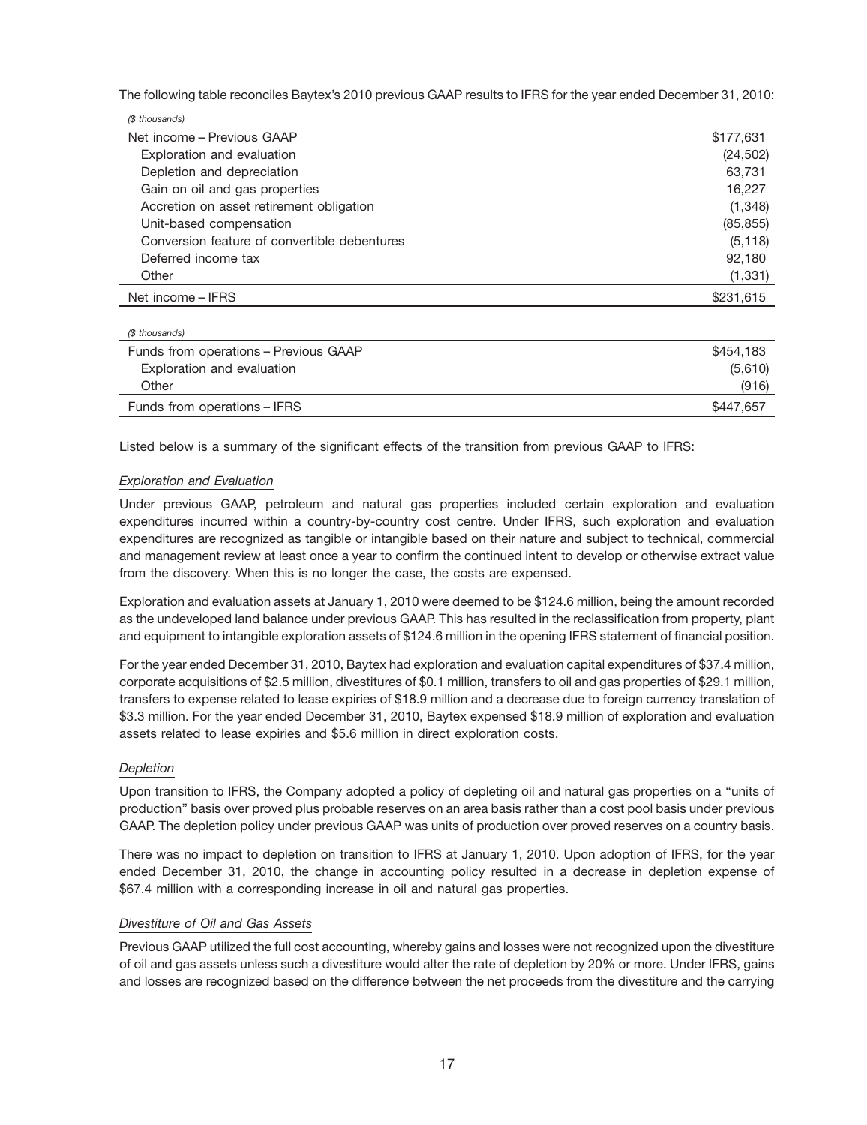The following table reconciles Baytex's 2010 previous GAAP results to IFRS for the year ended December 31, 2010:

| (\$ thousands)                               |           |
|----------------------------------------------|-----------|
| Net income - Previous GAAP                   | \$177,631 |
| Exploration and evaluation                   | (24, 502) |
| Depletion and depreciation                   | 63,731    |
| Gain on oil and gas properties               | 16.227    |
| Accretion on asset retirement obligation     | (1,348)   |
| Unit-based compensation                      | (85, 855) |
| Conversion feature of convertible debentures | (5, 118)  |
| Deferred income tax                          | 92,180    |
| Other                                        | (1, 331)  |
| Net income – IFRS                            | \$231,615 |

| (\$ thousands)                        |           |
|---------------------------------------|-----------|
| Funds from operations - Previous GAAP | \$454.183 |
| Exploration and evaluation            | (5,610)   |
| Other                                 | (916)     |
| Funds from operations – IFRS          | \$447.657 |

Listed below is a summary of the significant effects of the transition from previous GAAP to IFRS:

# *Exploration and Evaluation*

Under previous GAAP, petroleum and natural gas properties included certain exploration and evaluation expenditures incurred within a country-by-country cost centre. Under IFRS, such exploration and evaluation expenditures are recognized as tangible or intangible based on their nature and subject to technical, commercial and management review at least once a year to confirm the continued intent to develop or otherwise extract value from the discovery. When this is no longer the case, the costs are expensed.

Exploration and evaluation assets at January 1, 2010 were deemed to be \$124.6 million, being the amount recorded as the undeveloped land balance under previous GAAP. This has resulted in the reclassification from property, plant and equipment to intangible exploration assets of \$124.6 million in the opening IFRS statement of financial position.

For the year ended December 31, 2010, Baytex had exploration and evaluation capital expenditures of \$37.4 million, corporate acquisitions of \$2.5 million, divestitures of \$0.1 million, transfers to oil and gas properties of \$29.1 million, transfers to expense related to lease expiries of \$18.9 million and a decrease due to foreign currency translation of \$3.3 million. For the year ended December 31, 2010. Baytex expensed \$18.9 million of exploration and evaluation assets related to lease expiries and \$5.6 million in direct exploration costs.

#### *Depletion*

Upon transition to IFRS, the Company adopted a policy of depleting oil and natural gas properties on a ''units of production'' basis over proved plus probable reserves on an area basis rather than a cost pool basis under previous GAAP. The depletion policy under previous GAAP was units of production over proved reserves on a country basis.

There was no impact to depletion on transition to IFRS at January 1, 2010. Upon adoption of IFRS, for the year ended December 31, 2010, the change in accounting policy resulted in a decrease in depletion expense of \$67.4 million with a corresponding increase in oil and natural gas properties.

#### *Divestiture of Oil and Gas Assets*

Previous GAAP utilized the full cost accounting, whereby gains and losses were not recognized upon the divestiture of oil and gas assets unless such a divestiture would alter the rate of depletion by 20% or more. Under IFRS, gains and losses are recognized based on the difference between the net proceeds from the divestiture and the carrying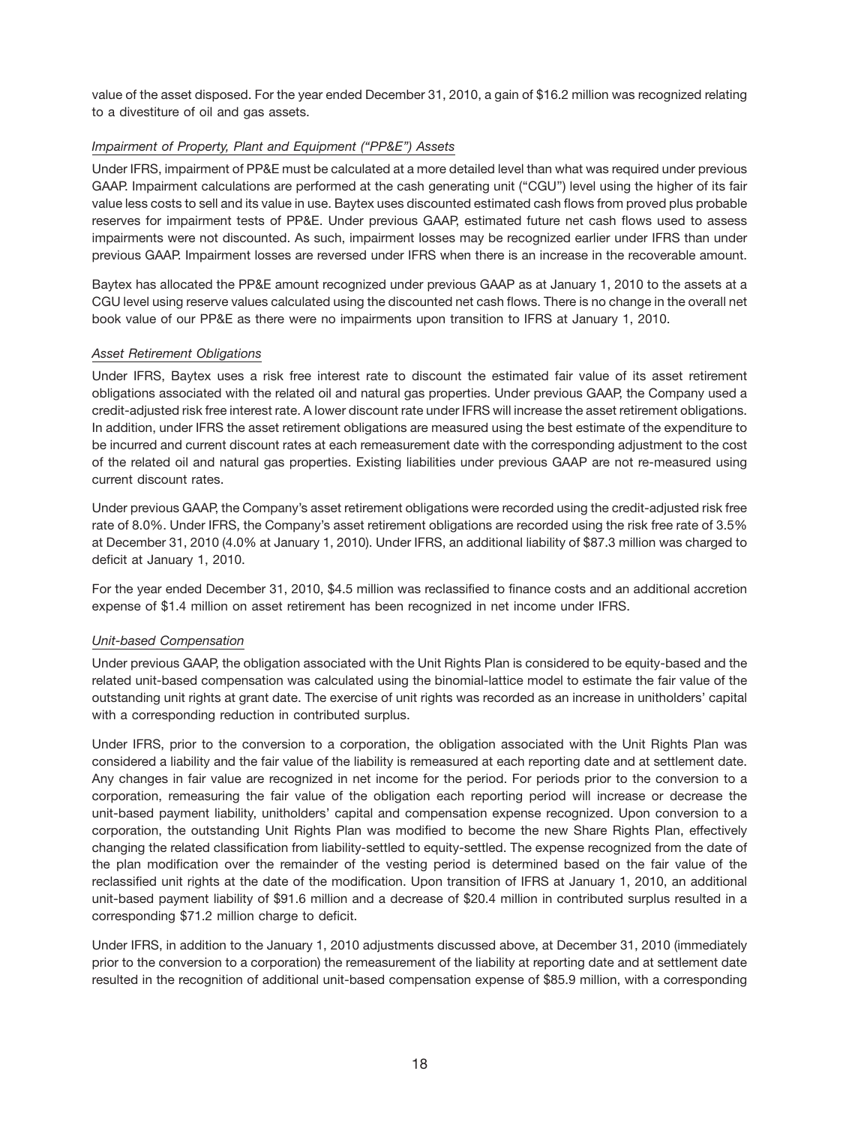value of the asset disposed. For the year ended December 31, 2010, a gain of \$16.2 million was recognized relating to a divestiture of oil and gas assets.

# *Impairment of Property, Plant and Equipment (''PP&E'') Assets*

Under IFRS, impairment of PP&E must be calculated at a more detailed level than what was required under previous GAAP. Impairment calculations are performed at the cash generating unit (''CGU'') level using the higher of its fair value less costs to sell and its value in use. Baytex uses discounted estimated cash flows from proved plus probable reserves for impairment tests of PP&E. Under previous GAAP, estimated future net cash flows used to assess impairments were not discounted. As such, impairment losses may be recognized earlier under IFRS than under previous GAAP. Impairment losses are reversed under IFRS when there is an increase in the recoverable amount.

Baytex has allocated the PP&E amount recognized under previous GAAP as at January 1, 2010 to the assets at a CGU level using reserve values calculated using the discounted net cash flows. There is no change in the overall net book value of our PP&E as there were no impairments upon transition to IFRS at January 1, 2010.

#### *Asset Retirement Obligations*

Under IFRS, Baytex uses a risk free interest rate to discount the estimated fair value of its asset retirement obligations associated with the related oil and natural gas properties. Under previous GAAP, the Company used a credit-adjusted risk free interest rate. A lower discount rate under IFRS will increase the asset retirement obligations. In addition, under IFRS the asset retirement obligations are measured using the best estimate of the expenditure to be incurred and current discount rates at each remeasurement date with the corresponding adjustment to the cost of the related oil and natural gas properties. Existing liabilities under previous GAAP are not re-measured using current discount rates.

Under previous GAAP, the Company's asset retirement obligations were recorded using the credit-adjusted risk free rate of 8.0%. Under IFRS, the Company's asset retirement obligations are recorded using the risk free rate of 3.5% at December 31, 2010 (4.0% at January 1, 2010). Under IFRS, an additional liability of \$87.3 million was charged to deficit at January 1, 2010.

For the year ended December 31, 2010, \$4.5 million was reclassified to finance costs and an additional accretion expense of \$1.4 million on asset retirement has been recognized in net income under IFRS.

# *Unit-based Compensation*

Under previous GAAP, the obligation associated with the Unit Rights Plan is considered to be equity-based and the related unit-based compensation was calculated using the binomial-lattice model to estimate the fair value of the outstanding unit rights at grant date. The exercise of unit rights was recorded as an increase in unitholders' capital with a corresponding reduction in contributed surplus.

Under IFRS, prior to the conversion to a corporation, the obligation associated with the Unit Rights Plan was considered a liability and the fair value of the liability is remeasured at each reporting date and at settlement date. Any changes in fair value are recognized in net income for the period. For periods prior to the conversion to a corporation, remeasuring the fair value of the obligation each reporting period will increase or decrease the unit-based payment liability, unitholders' capital and compensation expense recognized. Upon conversion to a corporation, the outstanding Unit Rights Plan was modified to become the new Share Rights Plan, effectively changing the related classification from liability-settled to equity-settled. The expense recognized from the date of the plan modification over the remainder of the vesting period is determined based on the fair value of the reclassified unit rights at the date of the modification. Upon transition of IFRS at January 1, 2010, an additional unit-based payment liability of \$91.6 million and a decrease of \$20.4 million in contributed surplus resulted in a corresponding \$71.2 million charge to deficit.

Under IFRS, in addition to the January 1, 2010 adjustments discussed above, at December 31, 2010 (immediately prior to the conversion to a corporation) the remeasurement of the liability at reporting date and at settlement date resulted in the recognition of additional unit-based compensation expense of \$85.9 million, with a corresponding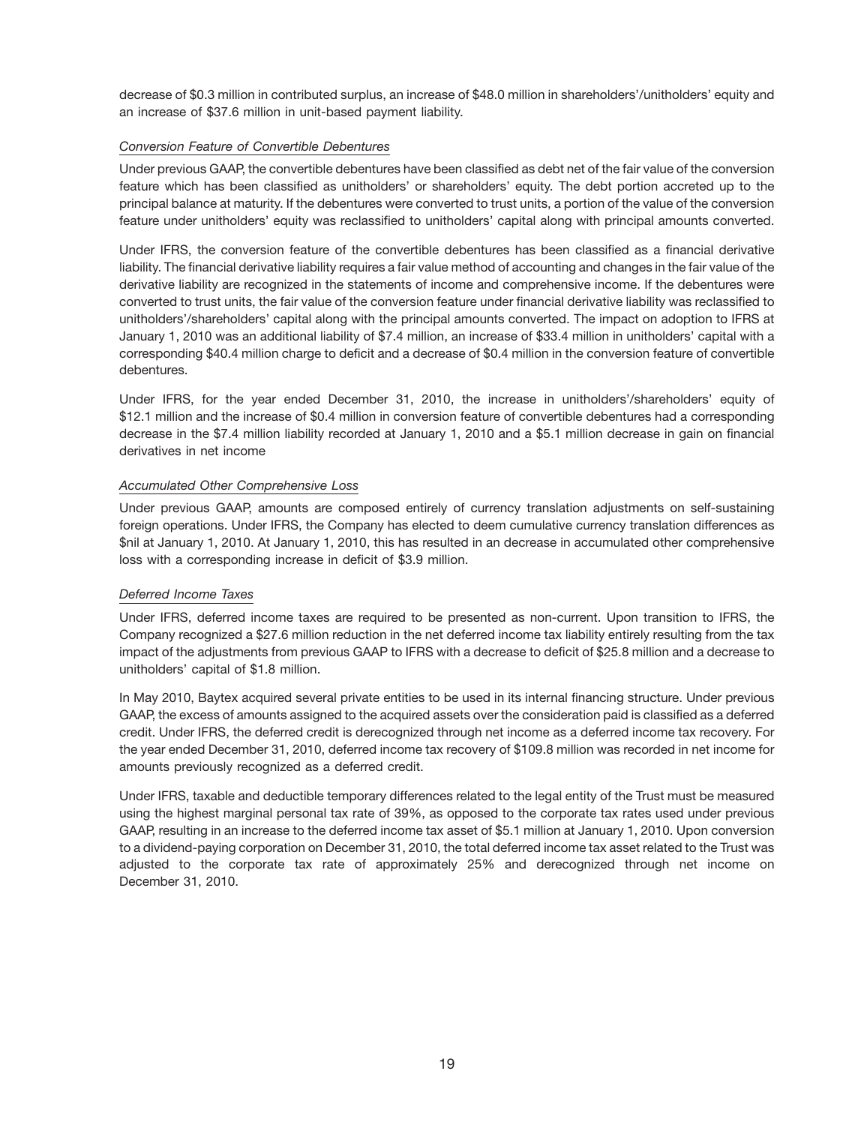decrease of \$0.3 million in contributed surplus, an increase of \$48.0 million in shareholders'/unitholders' equity and an increase of \$37.6 million in unit-based payment liability.

# *Conversion Feature of Convertible Debentures*

Under previous GAAP, the convertible debentures have been classified as debt net of the fair value of the conversion feature which has been classified as unitholders' or shareholders' equity. The debt portion accreted up to the principal balance at maturity. If the debentures were converted to trust units, a portion of the value of the conversion feature under unitholders' equity was reclassified to unitholders' capital along with principal amounts converted.

Under IFRS, the conversion feature of the convertible debentures has been classified as a financial derivative liability. The financial derivative liability requires a fair value method of accounting and changes in the fair value of the derivative liability are recognized in the statements of income and comprehensive income. If the debentures were converted to trust units, the fair value of the conversion feature under financial derivative liability was reclassified to unitholders'/shareholders' capital along with the principal amounts converted. The impact on adoption to IFRS at January 1, 2010 was an additional liability of \$7.4 million, an increase of \$33.4 million in unitholders' capital with a corresponding \$40.4 million charge to deficit and a decrease of \$0.4 million in the conversion feature of convertible debentures.

Under IFRS, for the year ended December 31, 2010, the increase in unitholders'/shareholders' equity of \$12.1 million and the increase of \$0.4 million in conversion feature of convertible debentures had a corresponding decrease in the \$7.4 million liability recorded at January 1, 2010 and a \$5.1 million decrease in gain on financial derivatives in net income

# *Accumulated Other Comprehensive Loss*

Under previous GAAP, amounts are composed entirely of currency translation adjustments on self-sustaining foreign operations. Under IFRS, the Company has elected to deem cumulative currency translation differences as \$nil at January 1, 2010. At January 1, 2010, this has resulted in an decrease in accumulated other comprehensive loss with a corresponding increase in deficit of \$3.9 million.

# *Deferred Income Taxes*

Under IFRS, deferred income taxes are required to be presented as non-current. Upon transition to IFRS, the Company recognized a \$27.6 million reduction in the net deferred income tax liability entirely resulting from the tax impact of the adjustments from previous GAAP to IFRS with a decrease to deficit of \$25.8 million and a decrease to unitholders' capital of \$1.8 million.

In May 2010, Baytex acquired several private entities to be used in its internal financing structure. Under previous GAAP, the excess of amounts assigned to the acquired assets over the consideration paid is classified as a deferred credit. Under IFRS, the deferred credit is derecognized through net income as a deferred income tax recovery. For the year ended December 31, 2010, deferred income tax recovery of \$109.8 million was recorded in net income for amounts previously recognized as a deferred credit.

Under IFRS, taxable and deductible temporary differences related to the legal entity of the Trust must be measured using the highest marginal personal tax rate of 39%, as opposed to the corporate tax rates used under previous GAAP, resulting in an increase to the deferred income tax asset of \$5.1 million at January 1, 2010. Upon conversion to a dividend-paying corporation on December 31, 2010, the total deferred income tax asset related to the Trust was adjusted to the corporate tax rate of approximately 25% and derecognized through net income on December 31, 2010.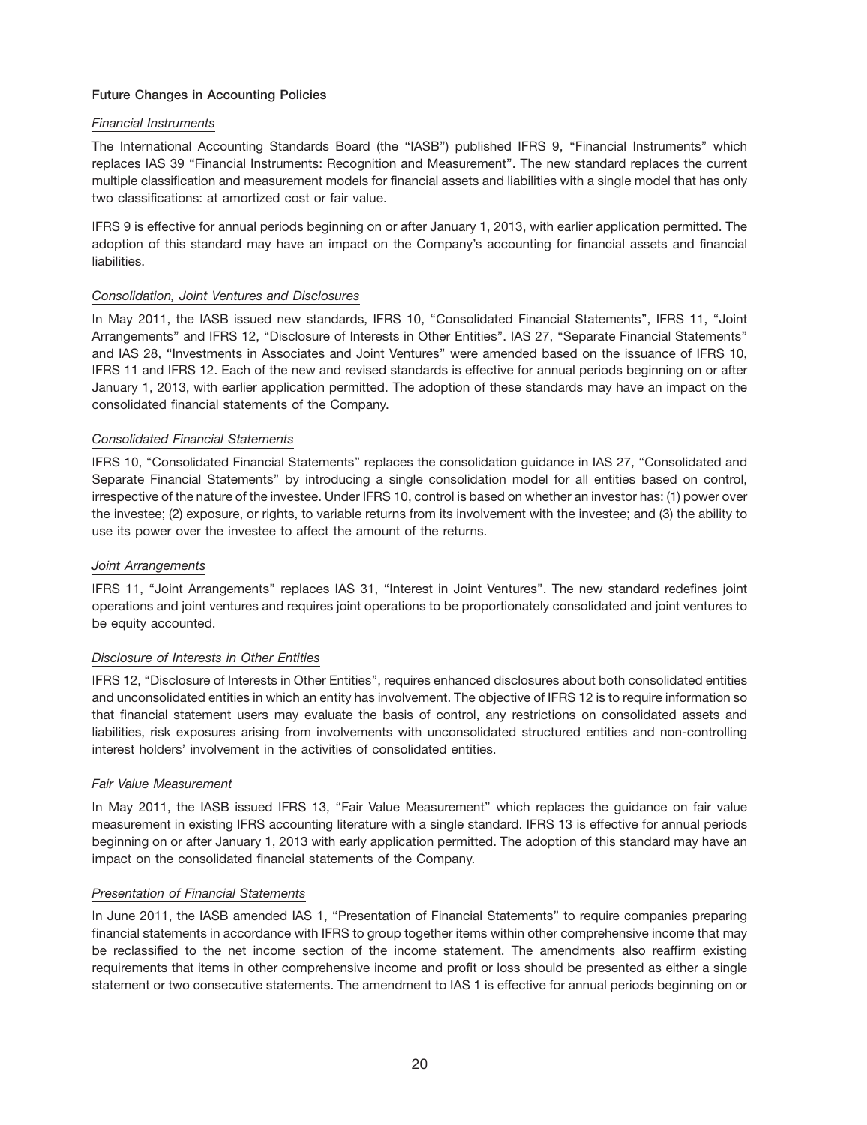# **Future Changes in Accounting Policies**

# *Financial Instruments*

The International Accounting Standards Board (the ''IASB'') published IFRS 9, ''Financial Instruments'' which replaces IAS 39 ''Financial Instruments: Recognition and Measurement''. The new standard replaces the current multiple classification and measurement models for financial assets and liabilities with a single model that has only two classifications: at amortized cost or fair value.

IFRS 9 is effective for annual periods beginning on or after January 1, 2013, with earlier application permitted. The adoption of this standard may have an impact on the Company's accounting for financial assets and financial liabilities.

# *Consolidation, Joint Ventures and Disclosures*

In May 2011, the IASB issued new standards, IFRS 10, ''Consolidated Financial Statements'', IFRS 11, ''Joint Arrangements'' and IFRS 12, ''Disclosure of Interests in Other Entities''. IAS 27, ''Separate Financial Statements'' and IAS 28, ''Investments in Associates and Joint Ventures'' were amended based on the issuance of IFRS 10, IFRS 11 and IFRS 12. Each of the new and revised standards is effective for annual periods beginning on or after January 1, 2013, with earlier application permitted. The adoption of these standards may have an impact on the consolidated financial statements of the Company.

# *Consolidated Financial Statements*

IFRS 10, ''Consolidated Financial Statements'' replaces the consolidation guidance in IAS 27, ''Consolidated and Separate Financial Statements'' by introducing a single consolidation model for all entities based on control, irrespective of the nature of the investee. Under IFRS 10, control is based on whether an investor has: (1) power over the investee; (2) exposure, or rights, to variable returns from its involvement with the investee; and (3) the ability to use its power over the investee to affect the amount of the returns.

## *Joint Arrangements*

IFRS 11, ''Joint Arrangements'' replaces IAS 31, ''Interest in Joint Ventures''. The new standard redefines joint operations and joint ventures and requires joint operations to be proportionately consolidated and joint ventures to be equity accounted.

#### *Disclosure of Interests in Other Entities*

IFRS 12, ''Disclosure of Interests in Other Entities'', requires enhanced disclosures about both consolidated entities and unconsolidated entities in which an entity has involvement. The objective of IFRS 12 is to require information so that financial statement users may evaluate the basis of control, any restrictions on consolidated assets and liabilities, risk exposures arising from involvements with unconsolidated structured entities and non-controlling interest holders' involvement in the activities of consolidated entities.

#### *Fair Value Measurement*

In May 2011, the IASB issued IFRS 13, ''Fair Value Measurement'' which replaces the guidance on fair value measurement in existing IFRS accounting literature with a single standard. IFRS 13 is effective for annual periods beginning on or after January 1, 2013 with early application permitted. The adoption of this standard may have an impact on the consolidated financial statements of the Company.

## *Presentation of Financial Statements*

In June 2011, the IASB amended IAS 1, "Presentation of Financial Statements" to require companies preparing financial statements in accordance with IFRS to group together items within other comprehensive income that may be reclassified to the net income section of the income statement. The amendments also reaffirm existing requirements that items in other comprehensive income and profit or loss should be presented as either a single statement or two consecutive statements. The amendment to IAS 1 is effective for annual periods beginning on or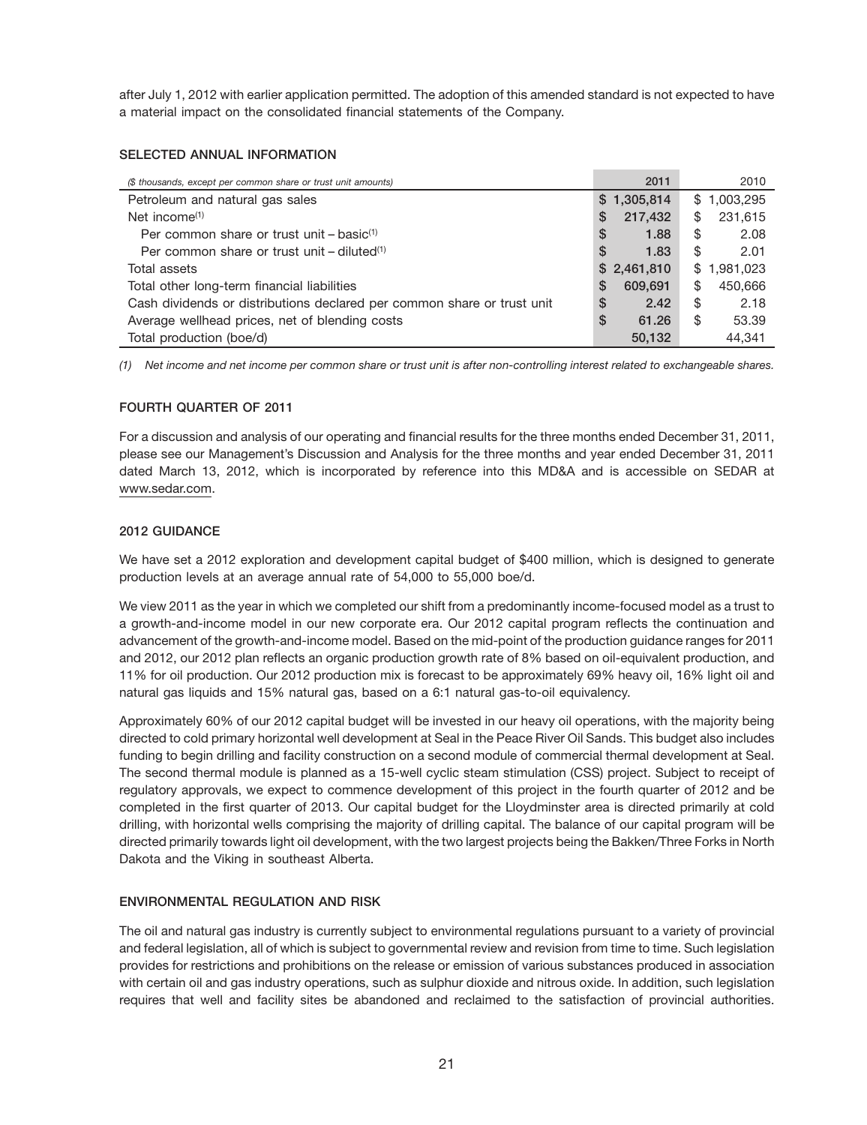after July 1, 2012 with earlier application permitted. The adoption of this amended standard is not expected to have a material impact on the consolidated financial statements of the Company.

# **SELECTED ANNUAL INFORMATION**

| (\$ thousands, except per common share or trust unit amounts)           | 2011         | 2010            |
|-------------------------------------------------------------------------|--------------|-----------------|
| Petroleum and natural gas sales                                         | \$1,305,814  | \$1,003,295     |
| Net income $(1)$                                                        | 217,432<br>S | 231.615<br>\$   |
| Per common share or trust unit $-$ basic <sup>(1)</sup>                 | S<br>1.88    | \$<br>2.08      |
| Per common share or trust unit – diluted <sup>(1)</sup>                 | 1.83<br>S    | \$<br>2.01      |
| Total assets                                                            | \$2,461,810  | 1,981,023<br>\$ |
| Total other long-term financial liabilities                             | S<br>609.691 | \$<br>450.666   |
| Cash dividends or distributions declared per common share or trust unit | \$<br>2.42   | \$<br>2.18      |
| Average wellhead prices, net of blending costs                          | \$<br>61.26  | \$<br>53.39     |
| Total production (boe/d)                                                | 50.132       | 44.341          |

*(1) Net income and net income per common share or trust unit is after non-controlling interest related to exchangeable shares.*

# **FOURTH QUARTER OF 2011**

For a discussion and analysis of our operating and financial results for the three months ended December 31, 2011, please see our Management's Discussion and Analysis for the three months and year ended December 31, 2011 dated March 13, 2012, which is incorporated by reference into this MD&A and is accessible on SEDAR at www.sedar.com.

# **2012 GUIDANCE**

We have set a 2012 exploration and development capital budget of \$400 million, which is designed to generate production levels at an average annual rate of 54,000 to 55,000 boe/d.

We view 2011 as the year in which we completed our shift from a predominantly income-focused model as a trust to a growth-and-income model in our new corporate era. Our 2012 capital program reflects the continuation and advancement of the growth-and-income model. Based on the mid-point of the production guidance ranges for 2011 and 2012, our 2012 plan reflects an organic production growth rate of 8% based on oil-equivalent production, and 11% for oil production. Our 2012 production mix is forecast to be approximately 69% heavy oil, 16% light oil and natural gas liquids and 15% natural gas, based on a 6:1 natural gas-to-oil equivalency.

Approximately 60% of our 2012 capital budget will be invested in our heavy oil operations, with the majority being directed to cold primary horizontal well development at Seal in the Peace River Oil Sands. This budget also includes funding to begin drilling and facility construction on a second module of commercial thermal development at Seal. The second thermal module is planned as a 15-well cyclic steam stimulation (CSS) project. Subject to receipt of regulatory approvals, we expect to commence development of this project in the fourth quarter of 2012 and be completed in the first quarter of 2013. Our capital budget for the Lloydminster area is directed primarily at cold drilling, with horizontal wells comprising the majority of drilling capital. The balance of our capital program will be directed primarily towards light oil development, with the two largest projects being the Bakken/Three Forks in North Dakota and the Viking in southeast Alberta.

# **ENVIRONMENTAL REGULATION AND RISK**

The oil and natural gas industry is currently subject to environmental regulations pursuant to a variety of provincial and federal legislation, all of which is subject to governmental review and revision from time to time. Such legislation provides for restrictions and prohibitions on the release or emission of various substances produced in association with certain oil and gas industry operations, such as sulphur dioxide and nitrous oxide. In addition, such legislation requires that well and facility sites be abandoned and reclaimed to the satisfaction of provincial authorities.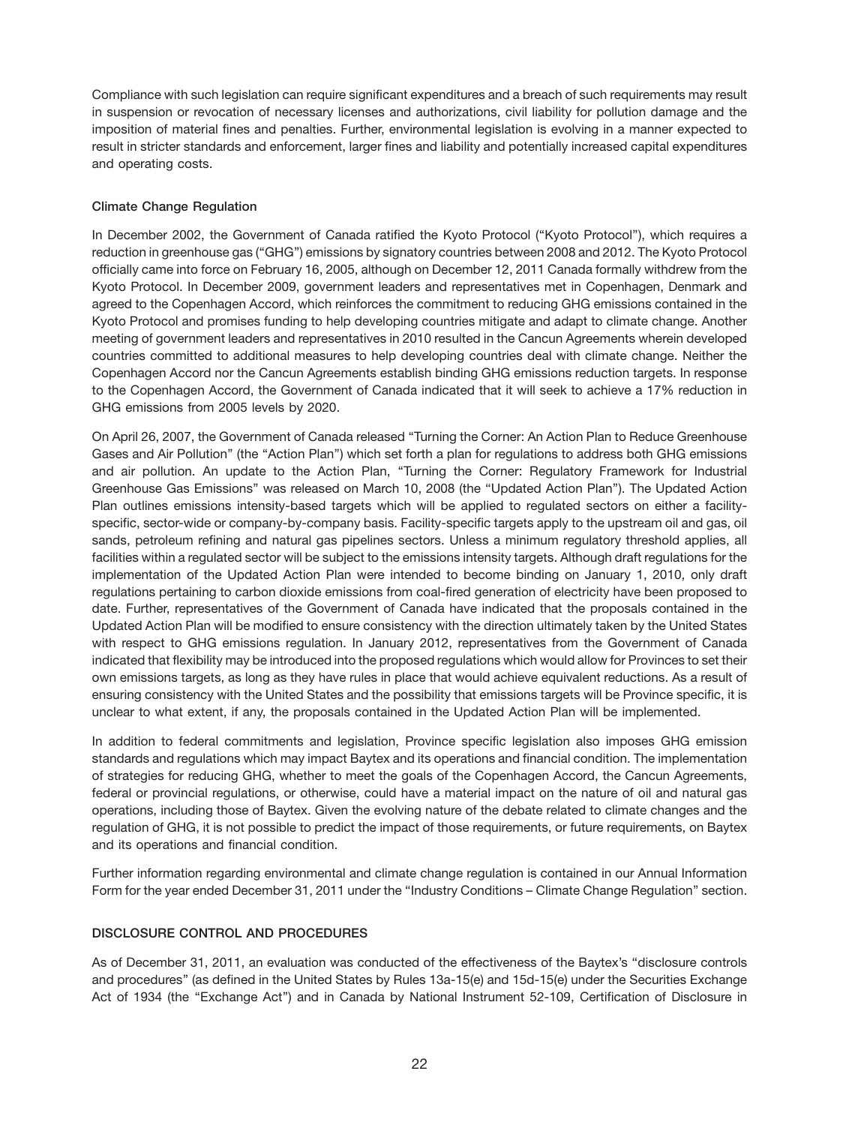Compliance with such legislation can require significant expenditures and a breach of such requirements may result in suspension or revocation of necessary licenses and authorizations, civil liability for pollution damage and the imposition of material fines and penalties. Further, environmental legislation is evolving in a manner expected to result in stricter standards and enforcement, larger fines and liability and potentially increased capital expenditures and operating costs.

# **Climate Change Regulation**

In December 2002, the Government of Canada ratified the Kyoto Protocol (''Kyoto Protocol''), which requires a reduction in greenhouse gas (''GHG'') emissions by signatory countries between 2008 and 2012. The Kyoto Protocol officially came into force on February 16, 2005, although on December 12, 2011 Canada formally withdrew from the Kyoto Protocol. In December 2009, government leaders and representatives met in Copenhagen, Denmark and agreed to the Copenhagen Accord, which reinforces the commitment to reducing GHG emissions contained in the Kyoto Protocol and promises funding to help developing countries mitigate and adapt to climate change. Another meeting of government leaders and representatives in 2010 resulted in the Cancun Agreements wherein developed countries committed to additional measures to help developing countries deal with climate change. Neither the Copenhagen Accord nor the Cancun Agreements establish binding GHG emissions reduction targets. In response to the Copenhagen Accord, the Government of Canada indicated that it will seek to achieve a 17% reduction in GHG emissions from 2005 levels by 2020.

On April 26, 2007, the Government of Canada released ''Turning the Corner: An Action Plan to Reduce Greenhouse Gases and Air Pollution'' (the ''Action Plan'') which set forth a plan for regulations to address both GHG emissions and air pollution. An update to the Action Plan, ''Turning the Corner: Regulatory Framework for Industrial Greenhouse Gas Emissions'' was released on March 10, 2008 (the ''Updated Action Plan''). The Updated Action Plan outlines emissions intensity-based targets which will be applied to regulated sectors on either a facilityspecific, sector-wide or company-by-company basis. Facility-specific targets apply to the upstream oil and gas, oil sands, petroleum refining and natural gas pipelines sectors. Unless a minimum regulatory threshold applies, all facilities within a regulated sector will be subject to the emissions intensity targets. Although draft regulations for the implementation of the Updated Action Plan were intended to become binding on January 1, 2010, only draft regulations pertaining to carbon dioxide emissions from coal-fired generation of electricity have been proposed to date. Further, representatives of the Government of Canada have indicated that the proposals contained in the Updated Action Plan will be modified to ensure consistency with the direction ultimately taken by the United States with respect to GHG emissions regulation. In January 2012, representatives from the Government of Canada indicated that flexibility may be introduced into the proposed regulations which would allow for Provinces to set their own emissions targets, as long as they have rules in place that would achieve equivalent reductions. As a result of ensuring consistency with the United States and the possibility that emissions targets will be Province specific, it is unclear to what extent, if any, the proposals contained in the Updated Action Plan will be implemented.

In addition to federal commitments and legislation, Province specific legislation also imposes GHG emission standards and regulations which may impact Baytex and its operations and financial condition. The implementation of strategies for reducing GHG, whether to meet the goals of the Copenhagen Accord, the Cancun Agreements, federal or provincial regulations, or otherwise, could have a material impact on the nature of oil and natural gas operations, including those of Baytex. Given the evolving nature of the debate related to climate changes and the regulation of GHG, it is not possible to predict the impact of those requirements, or future requirements, on Baytex and its operations and financial condition.

Further information regarding environmental and climate change regulation is contained in our Annual Information Form for the year ended December 31, 2011 under the ''Industry Conditions – Climate Change Regulation'' section.

# **DISCLOSURE CONTROL AND PROCEDURES**

As of December 31, 2011, an evaluation was conducted of the effectiveness of the Baytex's "disclosure controls and procedures'' (as defined in the United States by Rules 13a-15(e) and 15d-15(e) under the Securities Exchange Act of 1934 (the "Exchange Act") and in Canada by National Instrument 52-109, Certification of Disclosure in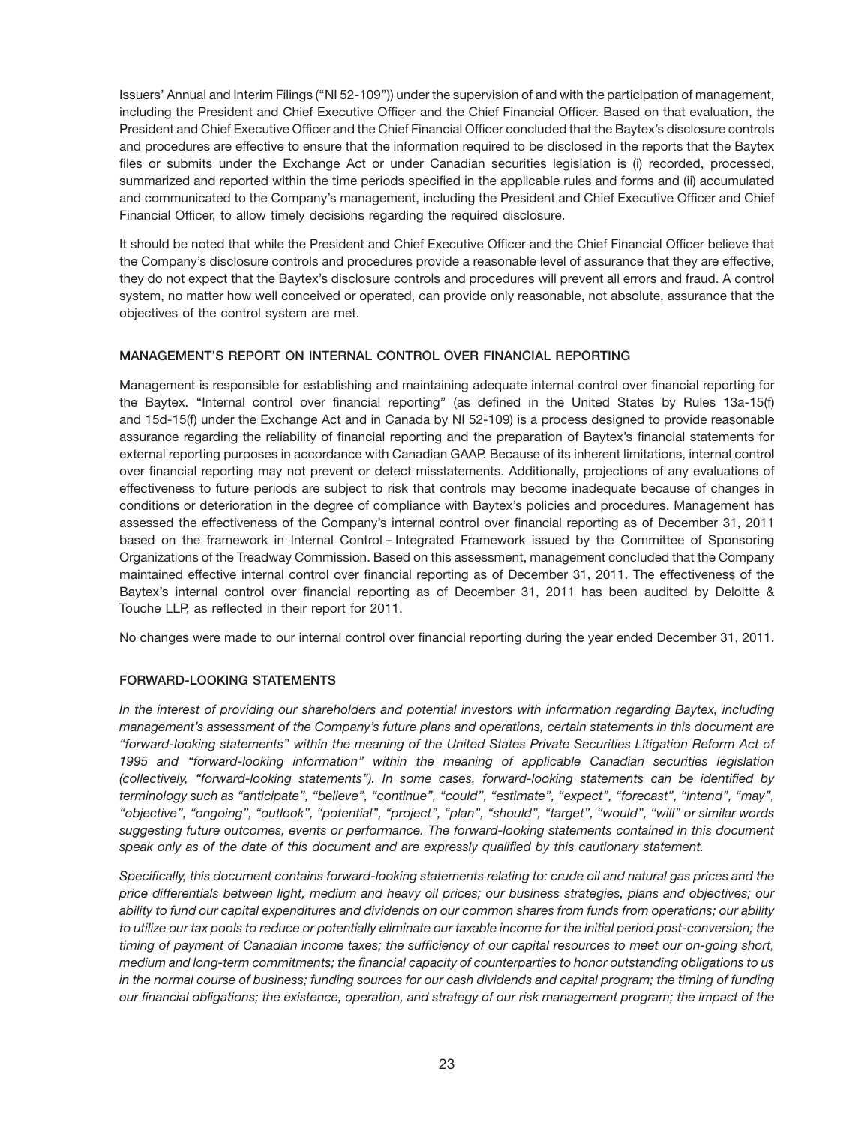Issuers' Annual and Interim Filings (''NI 52-109'')) under the supervision of and with the participation of management, including the President and Chief Executive Officer and the Chief Financial Officer. Based on that evaluation, the President and Chief Executive Officer and the Chief Financial Officer concluded that the Baytex's disclosure controls and procedures are effective to ensure that the information required to be disclosed in the reports that the Baytex files or submits under the Exchange Act or under Canadian securities legislation is (i) recorded, processed, summarized and reported within the time periods specified in the applicable rules and forms and (ii) accumulated and communicated to the Company's management, including the President and Chief Executive Officer and Chief Financial Officer, to allow timely decisions regarding the required disclosure.

It should be noted that while the President and Chief Executive Officer and the Chief Financial Officer believe that the Company's disclosure controls and procedures provide a reasonable level of assurance that they are effective, they do not expect that the Baytex's disclosure controls and procedures will prevent all errors and fraud. A control system, no matter how well conceived or operated, can provide only reasonable, not absolute, assurance that the objectives of the control system are met.

# **MANAGEMENT'S REPORT ON INTERNAL CONTROL OVER FINANCIAL REPORTING**

Management is responsible for establishing and maintaining adequate internal control over financial reporting for the Baytex. ''Internal control over financial reporting'' (as defined in the United States by Rules 13a-15(f) and 15d-15(f) under the Exchange Act and in Canada by NI 52-109) is a process designed to provide reasonable assurance regarding the reliability of financial reporting and the preparation of Baytex's financial statements for external reporting purposes in accordance with Canadian GAAP. Because of its inherent limitations, internal control over financial reporting may not prevent or detect misstatements. Additionally, projections of any evaluations of effectiveness to future periods are subject to risk that controls may become inadequate because of changes in conditions or deterioration in the degree of compliance with Baytex's policies and procedures. Management has assessed the effectiveness of the Company's internal control over financial reporting as of December 31, 2011 based on the framework in Internal Control – Integrated Framework issued by the Committee of Sponsoring Organizations of the Treadway Commission. Based on this assessment, management concluded that the Company maintained effective internal control over financial reporting as of December 31, 2011. The effectiveness of the Baytex's internal control over financial reporting as of December 31, 2011 has been audited by Deloitte & Touche LLP, as reflected in their report for 2011.

No changes were made to our internal control over financial reporting during the year ended December 31, 2011.

# **FORWARD-LOOKING STATEMENTS**

*In the interest of providing our shareholders and potential investors with information regarding Baytex, including management's assessment of the Company's future plans and operations, certain statements in this document are ''forward-looking statements'' within the meaning of the United States Private Securities Litigation Reform Act of 1995 and ''forward-looking information'' within the meaning of applicable Canadian securities legislation (collectively, ''forward-looking statements''). In some cases, forward-looking statements can be identified by terminology such as ''anticipate'', ''believe'', ''continue'', ''could'', ''estimate'', ''expect'', ''forecast'', ''intend'', ''may'', ''objective'', ''ongoing'', ''outlook'', ''potential'', ''project'', ''plan'', ''should'', ''target'', ''would'', ''will'' or similar words suggesting future outcomes, events or performance. The forward-looking statements contained in this document speak only as of the date of this document and are expressly qualified by this cautionary statement.*

*Specifically, this document contains forward-looking statements relating to: crude oil and natural gas prices and the price differentials between light, medium and heavy oil prices; our business strategies, plans and objectives; our ability to fund our capital expenditures and dividends on our common shares from funds from operations; our ability to utilize our tax pools to reduce or potentially eliminate our taxable income for the initial period post-conversion; the timing of payment of Canadian income taxes; the sufficiency of our capital resources to meet our on-going short, medium and long-term commitments; the financial capacity of counterparties to honor outstanding obligations to us in the normal course of business; funding sources for our cash dividends and capital program; the timing of funding our financial obligations; the existence, operation, and strategy of our risk management program; the impact of the*